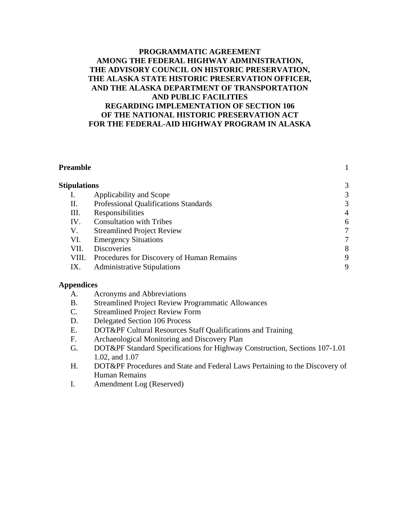#### **PROGRAMMATIC AGREEMENT AMONG THE FEDERAL HIGHWAY ADMINISTRATION, THE ADVISORY COUNCIL ON HISTORIC PRESERVATION, THE ALASKA STATE HISTORIC PRESERVATION OFFICER, AND THE ALASKA DEPARTMENT OF TRANSPORTATION AND PUBLIC FACILITIES REGARDING IMPLEMENTATION OF SECTION 106 OF THE NATIONAL HISTORIC PRESERVATION ACT FOR THE FEDERAL-AID HIGHWAY PROGRAM IN ALASKA**

| Preamble            |                                           |                |
|---------------------|-------------------------------------------|----------------|
| <b>Stipulations</b> |                                           | 3              |
|                     | Applicability and Scope                   | 3              |
| П.                  | Professional Qualifications Standards     | 3              |
| Ш.                  | Responsibilities                          | $\overline{4}$ |
| IV.                 | <b>Consultation with Tribes</b>           | 6              |
| V.                  | <b>Streamlined Project Review</b>         |                |
| VI.                 | <b>Emergency Situations</b>               |                |
| VII.                | <b>Discoveries</b>                        | 8              |
| VIII.               | Procedures for Discovery of Human Remains | 9              |
| IX.                 | <b>Administrative Stipulations</b>        | 9              |

#### **Appendices**

- A. Acronyms and Abbreviations
- B. Streamlined Project Review Programmatic Allowances
- C. Streamlined Project Review Form
- D. Delegated Section 106 Process
- E. DOT&PF Cultural Resources Staff Qualifications and Training
- F. Archaeological Monitoring and Discovery Plan
- G. DOT&PF Standard Specifications for Highway Construction, Sections 107-1.01 1.02, and 1.07
- H. DOT&PF Procedures and State and Federal Laws Pertaining to the Discovery of Human Remains
- I. Amendment Log (Reserved)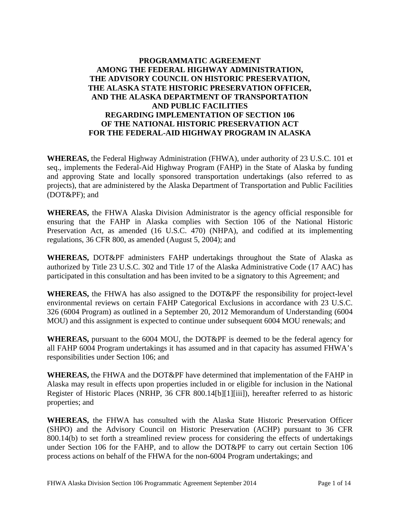# **PROGRAMMATIC AGREEMENT AMONG THE FEDERAL HIGHWAY ADMINISTRATION, THE ADVISORY COUNCIL ON HISTORIC PRESERVATION, THE ALASKA STATE HISTORIC PRESERVATION OFFICER, AND THE ALASKA DEPARTMENT OF TRANSPORTATION AND PUBLIC FACILITIES REGARDING IMPLEMENTATION OF SECTION 106 OF THE NATIONAL HISTORIC PRESERVATION ACT FOR THE FEDERAL-AID HIGHWAY PROGRAM IN ALASKA**

**WHEREAS,** the Federal Highway Administration (FHWA), under authority of 23 U.S.C. 101 et seq., implements the Federal-Aid Highway Program (FAHP) in the State of Alaska by funding and approving State and locally sponsored transportation undertakings (also referred to as projects), that are administered by the Alaska Department of Transportation and Public Facilities (DOT&PF); and

**WHEREAS,** the FHWA Alaska Division Administrator is the agency official responsible for ensuring that the FAHP in Alaska complies with Section 106 of the National Historic Preservation Act, as amended (16 U.S.C. 470) (NHPA), and codified at its implementing regulations, 36 CFR 800, as amended (August 5, 2004); and

**WHEREAS,** DOT&PF administers FAHP undertakings throughout the State of Alaska as authorized by Title 23 U.S.C. 302 and Title 17 of the Alaska Administrative Code (17 AAC) has participated in this consultation and has been invited to be a signatory to this Agreement; and

**WHEREAS,** the FHWA has also assigned to the DOT&PF the responsibility for project-level environmental reviews on certain FAHP Categorical Exclusions in accordance with 23 U.S.C. 326 (6004 Program) as outlined in a September 20, 2012 Memorandum of Understanding (6004 MOU) and this assignment is expected to continue under subsequent 6004 MOU renewals; and

**WHEREAS,** pursuant to the 6004 MOU, the DOT&PF is deemed to be the federal agency for all FAHP 6004 Program undertakings it has assumed and in that capacity has assumed FHWA's responsibilities under Section 106; and

**WHEREAS,** the FHWA and the DOT&PF have determined that implementation of the FAHP in Alaska may result in effects upon properties included in or eligible for inclusion in the National Register of Historic Places (NRHP, 36 CFR 800.14[b][1][iii]), hereafter referred to as historic properties; and

**WHEREAS,** the FHWA has consulted with the Alaska State Historic Preservation Officer (SHPO) and the Advisory Council on Historic Preservation (ACHP) pursuant to 36 CFR 800.14(b) to set forth a streamlined review process for considering the effects of undertakings under Section 106 for the FAHP, and to allow the DOT&PF to carry out certain Section 106 process actions on behalf of the FHWA for the non-6004 Program undertakings; and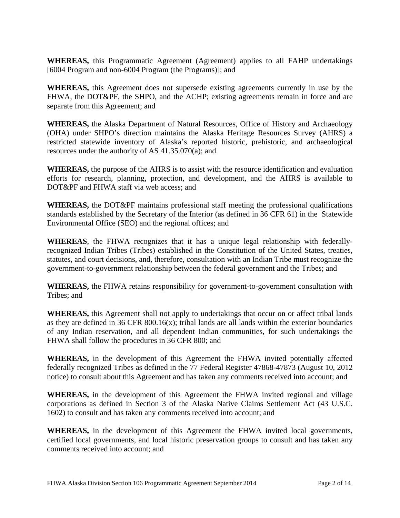**WHEREAS,** this Programmatic Agreement (Agreement) applies to all FAHP undertakings [6004 Program and non-6004 Program (the Programs)]; and

**WHEREAS,** this Agreement does not supersede existing agreements currently in use by the FHWA, the DOT&PF, the SHPO, and the ACHP; existing agreements remain in force and are separate from this Agreement; and

**WHEREAS,** the Alaska Department of Natural Resources, Office of History and Archaeology (OHA) under SHPO's direction maintains the Alaska Heritage Resources Survey (AHRS) a restricted statewide inventory of Alaska's reported historic, prehistoric, and archaeological resources under the authority of AS 41.35.070(a); and

**WHEREAS,** the purpose of the AHRS is to assist with the resource identification and evaluation efforts for research, planning, protection, and development, and the AHRS is available to DOT&PF and FHWA staff via web access; and

**WHEREAS,** the DOT&PF maintains professional staff meeting the professional qualifications standards established by the Secretary of the Interior (as defined in 36 CFR 61) in the Statewide Environmental Office (SEO) and the regional offices; and

**WHEREAS**, the FHWA recognizes that it has a unique legal relationship with federallyrecognized Indian Tribes (Tribes) established in the Constitution of the United States, treaties, statutes, and court decisions, and, therefore, consultation with an Indian Tribe must recognize the government-to-government relationship between the federal government and the Tribes; and

**WHEREAS,** the FHWA retains responsibility for government-to-government consultation with Tribes; and

**WHEREAS,** this Agreement shall not apply to undertakings that occur on or affect tribal lands as they are defined in 36 CFR 800.16(x); tribal lands are all lands within the exterior boundaries of any Indian reservation, and all dependent Indian communities, for such undertakings the FHWA shall follow the procedures in 36 CFR 800; and

**WHEREAS,** in the development of this Agreement the FHWA invited potentially affected federally recognized Tribes as defined in the 77 Federal Register 47868-47873 (August 10, 2012 notice) to consult about this Agreement and has taken any comments received into account; and

**WHEREAS,** in the development of this Agreement the FHWA invited regional and village corporations as defined in Section 3 of the Alaska Native Claims Settlement Act (43 U.S.C. 1602) to consult and has taken any comments received into account; and

**WHEREAS,** in the development of this Agreement the FHWA invited local governments, certified local governments, and local historic preservation groups to consult and has taken any comments received into account; and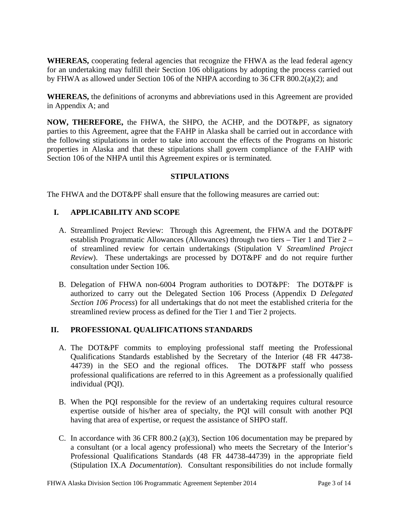**WHEREAS,** cooperating federal agencies that recognize the FHWA as the lead federal agency for an undertaking may fulfill their Section 106 obligations by adopting the process carried out by FHWA as allowed under Section 106 of the NHPA according to 36 CFR 800.2(a)(2); and

**WHEREAS,** the definitions of acronyms and abbreviations used in this Agreement are provided in Appendix A; and

**NOW, THEREFORE,** the FHWA, the SHPO, the ACHP, and the DOT&PF, as signatory parties to this Agreement, agree that the FAHP in Alaska shall be carried out in accordance with the following stipulations in order to take into account the effects of the Programs on historic properties in Alaska and that these stipulations shall govern compliance of the FAHP with Section 106 of the NHPA until this Agreement expires or is terminated.

#### **STIPULATIONS**

The FHWA and the DOT&PF shall ensure that the following measures are carried out:

# **I. APPLICABILITY AND SCOPE**

- A. Streamlined Project Review: Through this Agreement, the FHWA and the DOT&PF establish Programmatic Allowances (Allowances) through two tiers – Tier 1 and Tier 2 – of streamlined review for certain undertakings (Stipulation V *Streamlined Project Review*). These undertakings are processed by DOT&PF and do not require further consultation under Section 106.
- B. Delegation of FHWA non-6004 Program authorities to DOT&PF: The DOT&PF is authorized to carry out the Delegated Section 106 Process (Appendix D *Delegated Section 106 Process*) for all undertakings that do not meet the established criteria for the streamlined review process as defined for the Tier 1 and Tier 2 projects.

#### **II. PROFESSIONAL QUALIFICATIONS STANDARDS**

- A. The DOT&PF commits to employing professional staff meeting the Professional Qualifications Standards established by the Secretary of the Interior (48 FR 44738- 44739) in the SEO and the regional offices. The DOT&PF staff who possess professional qualifications are referred to in this Agreement as a professionally qualified individual (PQI).
- B. When the PQI responsible for the review of an undertaking requires cultural resource expertise outside of his/her area of specialty, the PQI will consult with another PQI having that area of expertise, or request the assistance of SHPO staff.
- C. In accordance with 36 CFR 800.2 (a)(3), Section 106 documentation may be prepared by a consultant (or a local agency professional) who meets the Secretary of the Interior's Professional Qualifications Standards (48 FR 44738-44739) in the appropriate field (Stipulation IX.A *Documentation*). Consultant responsibilities do not include formally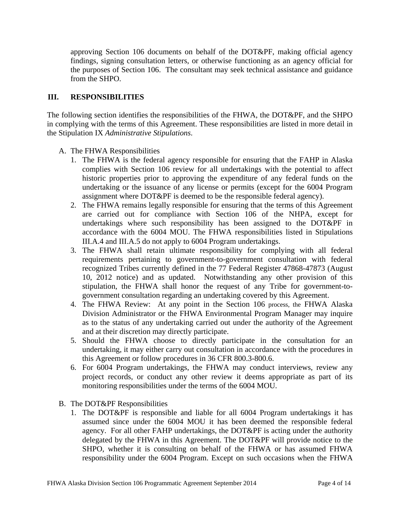approving Section 106 documents on behalf of the DOT&PF, making official agency findings, signing consultation letters, or otherwise functioning as an agency official for the purposes of Section 106. The consultant may seek technical assistance and guidance from the SHPO.

#### **III. RESPONSIBILITIES**

The following section identifies the responsibilities of the FHWA, the DOT&PF, and the SHPO in complying with the terms of this Agreement. These responsibilities are listed in more detail in the Stipulation IX *Administrative Stipulations*.

- A. The FHWA Responsibilities
	- 1. The FHWA is the federal agency responsible for ensuring that the FAHP in Alaska complies with Section 106 review for all undertakings with the potential to affect historic properties prior to approving the expenditure of any federal funds on the undertaking or the issuance of any license or permits (except for the 6004 Program assignment where DOT&PF is deemed to be the responsible federal agency).
	- 2. The FHWA remains legally responsible for ensuring that the terms of this Agreement are carried out for compliance with Section 106 of the NHPA, except for undertakings where such responsibility has been assigned to the DOT&PF in accordance with the 6004 MOU. The FHWA responsibilities listed in Stipulations III.A.4 and III.A.5 do not apply to 6004 Program undertakings.
	- 3. The FHWA shall retain ultimate responsibility for complying with all federal requirements pertaining to government-to-government consultation with federal recognized Tribes currently defined in the 77 Federal Register 47868-47873 (August 10, 2012 notice) and as updated. Notwithstanding any other provision of this stipulation, the FHWA shall honor the request of any Tribe for government-togovernment consultation regarding an undertaking covered by this Agreement.
	- 4. The FHWA Review: At any point in the Section 106 process, the FHWA Alaska Division Administrator or the FHWA Environmental Program Manager may inquire as to the status of any undertaking carried out under the authority of the Agreement and at their discretion may directly participate.
	- 5. Should the FHWA choose to directly participate in the consultation for an undertaking, it may either carry out consultation in accordance with the procedures in this Agreement or follow procedures in 36 CFR 800.3-800.6.
	- 6. For 6004 Program undertakings, the FHWA may conduct interviews, review any project records, or conduct any other review it deems appropriate as part of its monitoring responsibilities under the terms of the 6004 MOU.
- B. The DOT&PF Responsibilities
	- 1. The DOT&PF is responsible and liable for all 6004 Program undertakings it has assumed since under the 6004 MOU it has been deemed the responsible federal agency. For all other FAHP undertakings, the DOT&PF is acting under the authority delegated by the FHWA in this Agreement. The DOT&PF will provide notice to the SHPO, whether it is consulting on behalf of the FHWA or has assumed FHWA responsibility under the 6004 Program. Except on such occasions when the FHWA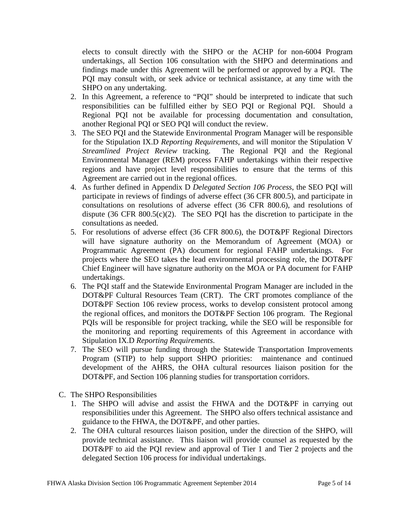elects to consult directly with the SHPO or the ACHP for non-6004 Program undertakings, all Section 106 consultation with the SHPO and determinations and findings made under this Agreement will be performed or approved by a PQI. The PQI may consult with, or seek advice or technical assistance, at any time with the SHPO on any undertaking.

- 2. In this Agreement, a reference to "PQI" should be interpreted to indicate that such responsibilities can be fulfilled either by SEO PQI or Regional PQI. Should a Regional PQI not be available for processing documentation and consultation, another Regional PQI or SEO PQI will conduct the review.
- 3. The SEO PQI and the Statewide Environmental Program Manager will be responsible for the Stipulation IX.D *Reporting Requirements*, and will monitor the Stipulation V *Streamlined Project Review* tracking. The Regional PQI and the Regional Environmental Manager (REM) process FAHP undertakings within their respective regions and have project level responsibilities to ensure that the terms of this Agreement are carried out in the regional offices.
- 4. As further defined in Appendix D *Delegated Section 106 Process*, the SEO PQI will participate in reviews of findings of adverse effect (36 CFR 800.5), and participate in consultations on resolutions of adverse effect (36 CFR 800.6), and resolutions of dispute  $(36 \text{ CFR } 800.5(c)(2)$ . The SEO PQI has the discretion to participate in the consultations as needed.
- 5. For resolutions of adverse effect (36 CFR 800.6), the DOT&PF Regional Directors will have signature authority on the Memorandum of Agreement (MOA) or Programmatic Agreement (PA) document for regional FAHP undertakings. For projects where the SEO takes the lead environmental processing role, the DOT&PF Chief Engineer will have signature authority on the MOA or PA document for FAHP undertakings.
- 6. The PQI staff and the Statewide Environmental Program Manager are included in the DOT&PF Cultural Resources Team (CRT). The CRT promotes compliance of the DOT&PF Section 106 review process, works to develop consistent protocol among the regional offices, and monitors the DOT&PF Section 106 program. The Regional PQIs will be responsible for project tracking, while the SEO will be responsible for the monitoring and reporting requirements of this Agreement in accordance with Stipulation IX.D *Reporting Requirements*.
- 7. The SEO will pursue funding through the Statewide Transportation Improvements Program (STIP) to help support SHPO priorities: maintenance and continued development of the AHRS, the OHA cultural resources liaison position for the DOT&PF, and Section 106 planning studies for transportation corridors.
- C. The SHPO Responsibilities
	- 1. The SHPO will advise and assist the FHWA and the DOT&PF in carrying out responsibilities under this Agreement. The SHPO also offers technical assistance and guidance to the FHWA, the DOT&PF, and other parties.
	- 2. The OHA cultural resources liaison position, under the direction of the SHPO, will provide technical assistance. This liaison will provide counsel as requested by the DOT&PF to aid the PQI review and approval of Tier 1 and Tier 2 projects and the delegated Section 106 process for individual undertakings.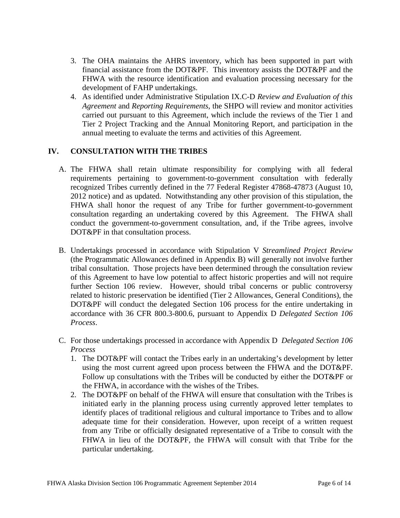- 3. The OHA maintains the AHRS inventory, which has been supported in part with financial assistance from the DOT&PF. This inventory assists the DOT&PF and the FHWA with the resource identification and evaluation processing necessary for the development of FAHP undertakings.
- 4. As identified under Administrative Stipulation IX.C-D *Review and Evaluation of this Agreement* and *Reporting Requirements*, the SHPO will review and monitor activities carried out pursuant to this Agreement, which include the reviews of the Tier 1 and Tier 2 Project Tracking and the Annual Monitoring Report, and participation in the annual meeting to evaluate the terms and activities of this Agreement.

# **IV. CONSULTATION WITH THE TRIBES**

- A. The FHWA shall retain ultimate responsibility for complying with all federal requirements pertaining to government-to-government consultation with federally recognized Tribes currently defined in the 77 Federal Register 47868-47873 (August 10, 2012 notice) and as updated. Notwithstanding any other provision of this stipulation, the FHWA shall honor the request of any Tribe for further government-to-government consultation regarding an undertaking covered by this Agreement. The FHWA shall conduct the government-to-government consultation, and, if the Tribe agrees, involve DOT&PF in that consultation process.
- B. Undertakings processed in accordance with Stipulation V *Streamlined Project Review* (the Programmatic Allowances defined in Appendix B) will generally not involve further tribal consultation. Those projects have been determined through the consultation review of this Agreement to have low potential to affect historic properties and will not require further Section 106 review. However, should tribal concerns or public controversy related to historic preservation be identified (Tier 2 Allowances, General Conditions), the DOT&PF will conduct the delegated Section 106 process for the entire undertaking in accordance with 36 CFR 800.3-800.6, pursuant to Appendix D *Delegated Section 106 Process*.
- C. For those undertakings processed in accordance with Appendix D *Delegated Section 106 Process*
	- 1. The DOT&PF will contact the Tribes early in an undertaking's development by letter using the most current agreed upon process between the FHWA and the DOT&PF. Follow up consultations with the Tribes will be conducted by either the DOT&PF or the FHWA, in accordance with the wishes of the Tribes.
	- 2. The DOT&PF on behalf of the FHWA will ensure that consultation with the Tribes is initiated early in the planning process using currently approved letter templates to identify places of traditional religious and cultural importance to Tribes and to allow adequate time for their consideration. However, upon receipt of a written request from any Tribe or officially designated representative of a Tribe to consult with the FHWA in lieu of the DOT&PF, the FHWA will consult with that Tribe for the particular undertaking.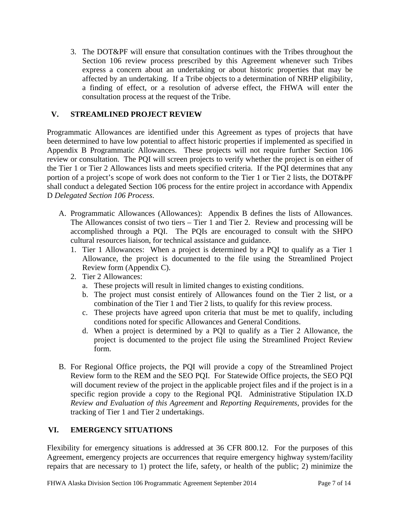3. The DOT&PF will ensure that consultation continues with the Tribes throughout the Section 106 review process prescribed by this Agreement whenever such Tribes express a concern about an undertaking or about historic properties that may be affected by an undertaking. If a Tribe objects to a determination of NRHP eligibility, a finding of effect, or a resolution of adverse effect, the FHWA will enter the consultation process at the request of the Tribe.

# **V. STREAMLINED PROJECT REVIEW**

Programmatic Allowances are identified under this Agreement as types of projects that have been determined to have low potential to affect historic properties if implemented as specified in Appendix B Programmatic Allowances. These projects will not require further Section 106 review or consultation. The PQI will screen projects to verify whether the project is on either of the Tier 1 or Tier 2 Allowances lists and meets specified criteria. If the PQI determines that any portion of a project's scope of work does not conform to the Tier 1 or Tier 2 lists, the DOT&PF shall conduct a delegated Section 106 process for the entire project in accordance with Appendix D *Delegated Section 106 Process*.

- A. Programmatic Allowances (Allowances): Appendix B defines the lists of Allowances. The Allowances consist of two tiers – Tier 1 and Tier 2. Review and processing will be accomplished through a PQI. The PQIs are encouraged to consult with the SHPO cultural resources liaison, for technical assistance and guidance.
	- 1. Tier 1 Allowances: When a project is determined by a PQI to qualify as a Tier 1 Allowance, the project is documented to the file using the Streamlined Project Review form (Appendix C).
	- 2. Tier 2 Allowances:
		- a. These projects will result in limited changes to existing conditions.
		- b. The project must consist entirely of Allowances found on the Tier 2 list, or a combination of the Tier 1 and Tier 2 lists, to qualify for this review process.
		- c. These projects have agreed upon criteria that must be met to qualify, including conditions noted for specific Allowances and General Conditions.
		- d. When a project is determined by a PQI to qualify as a Tier 2 Allowance, the project is documented to the project file using the Streamlined Project Review form.
- B. For Regional Office projects, the PQI will provide a copy of the Streamlined Project Review form to the REM and the SEO PQI. For Statewide Office projects, the SEO PQI will document review of the project in the applicable project files and if the project is in a specific region provide a copy to the Regional PQI. Administrative Stipulation IX.D *Review and Evaluation of this Agreement* and *Reporting Requirements*, provides for the tracking of Tier 1 and Tier 2 undertakings.

# **VI. EMERGENCY SITUATIONS**

Flexibility for emergency situations is addressed at 36 CFR 800.12. For the purposes of this Agreement, emergency projects are occurrences that require emergency highway system/facility repairs that are necessary to 1) protect the life, safety, or health of the public; 2) minimize the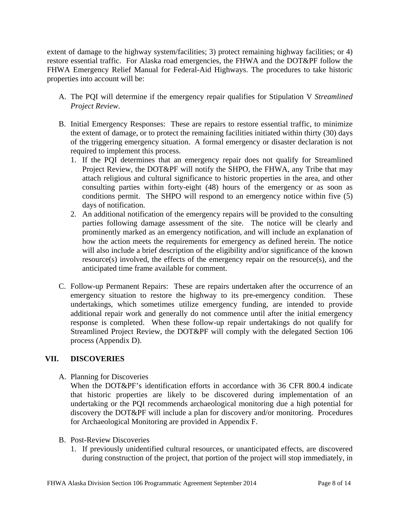extent of damage to the highway system/facilities; 3) protect remaining highway facilities; or 4) restore essential traffic. For Alaska road emergencies, the FHWA and the DOT&PF follow the FHWA Emergency Relief Manual for Federal-Aid Highways. The procedures to take historic properties into account will be:

- A. The PQI will determine if the emergency repair qualifies for Stipulation V *Streamlined Project Review*.
- B. Initial Emergency Responses: These are repairs to restore essential traffic, to minimize the extent of damage, or to protect the remaining facilities initiated within thirty (30) days of the triggering emergency situation. A formal emergency or disaster declaration is not required to implement this process.
	- 1. If the PQI determines that an emergency repair does not qualify for Streamlined Project Review, the DOT&PF will notify the SHPO, the FHWA, any Tribe that may attach religious and cultural significance to historic properties in the area, and other consulting parties within forty-eight (48) hours of the emergency or as soon as conditions permit. The SHPO will respond to an emergency notice within five (5) days of notification.
	- 2. An additional notification of the emergency repairs will be provided to the consulting parties following damage assessment of the site. The notice will be clearly and prominently marked as an emergency notification, and will include an explanation of how the action meets the requirements for emergency as defined herein. The notice will also include a brief description of the eligibility and/or significance of the known resource(s) involved, the effects of the emergency repair on the resource(s), and the anticipated time frame available for comment.
- C. Follow-up Permanent Repairs: These are repairs undertaken after the occurrence of an emergency situation to restore the highway to its pre-emergency condition. These undertakings, which sometimes utilize emergency funding, are intended to provide additional repair work and generally do not commence until after the initial emergency response is completed. When these follow-up repair undertakings do not qualify for Streamlined Project Review, the DOT&PF will comply with the delegated Section 106 process (Appendix D).

#### **VII. DISCOVERIES**

A. Planning for Discoveries

When the DOT&PF's identification efforts in accordance with 36 CFR 800.4 indicate that historic properties are likely to be discovered during implementation of an undertaking or the PQI recommends archaeological monitoring due a high potential for discovery the DOT&PF will include a plan for discovery and/or monitoring. Procedures for Archaeological Monitoring are provided in Appendix F.

- B. Post-Review Discoveries
	- 1. If previously unidentified cultural resources, or unanticipated effects, are discovered during construction of the project, that portion of the project will stop immediately, in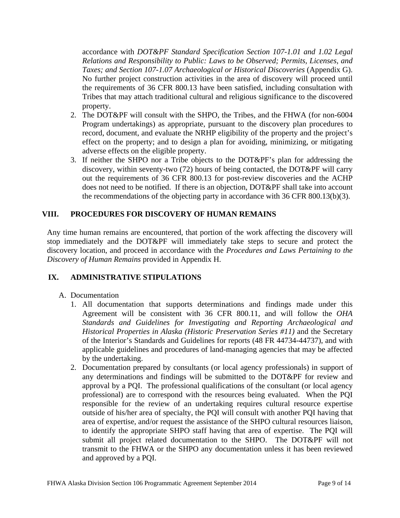accordance with *DOT&PF Standard Specification Section 107-1.01 and 1.02 Legal Relations and Responsibility to Public: Laws to be Observed; Permits, Licenses, and Taxes; and Section 107-1.07 Archaeological or Historical Discoveries* (Appendix G). No further project construction activities in the area of discovery will proceed until the requirements of 36 CFR 800.13 have been satisfied, including consultation with Tribes that may attach traditional cultural and religious significance to the discovered property.

- 2. The DOT&PF will consult with the SHPO, the Tribes, and the FHWA (for non-6004 Program undertakings) as appropriate, pursuant to the discovery plan procedures to record, document, and evaluate the NRHP eligibility of the property and the project's effect on the property; and to design a plan for avoiding, minimizing, or mitigating adverse effects on the eligible property.
- 3. If neither the SHPO nor a Tribe objects to the DOT&PF's plan for addressing the discovery, within seventy-two (72) hours of being contacted, the DOT&PF will carry out the requirements of 36 CFR 800.13 for post-review discoveries and the ACHP does not need to be notified. If there is an objection, DOT&PF shall take into account the recommendations of the objecting party in accordance with 36 CFR 800.13(b)(3).

# **VIII. PROCEDURES FOR DISCOVERY OF HUMAN REMAINS**

Any time human remains are encountered, that portion of the work affecting the discovery will stop immediately and the DOT&PF will immediately take steps to secure and protect the discovery location, and proceed in accordance with the *Procedures and Laws Pertaining to the Discovery of Human Remains* provided in Appendix H.

# **IX. ADMINISTRATIVE STIPULATIONS**

- A. Documentation
	- 1. All documentation that supports determinations and findings made under this Agreement will be consistent with 36 CFR 800.11, and will follow the *OHA Standards and Guidelines for Investigating and Reporting Archaeological and Historical Properties in Alaska (Historic Preservation Series #11)* and the Secretary of the Interior's Standards and Guidelines for reports (48 FR 44734-44737), and with applicable guidelines and procedures of land-managing agencies that may be affected by the undertaking.
	- 2. Documentation prepared by consultants (or local agency professionals) in support of any determinations and findings will be submitted to the DOT&PF for review and approval by a PQI. The professional qualifications of the consultant (or local agency professional) are to correspond with the resources being evaluated. When the PQI responsible for the review of an undertaking requires cultural resource expertise outside of his/her area of specialty, the PQI will consult with another PQI having that area of expertise, and/or request the assistance of the SHPO cultural resources liaison, to identify the appropriate SHPO staff having that area of expertise. The PQI will submit all project related documentation to the SHPO. The DOT&PF will not transmit to the FHWA or the SHPO any documentation unless it has been reviewed and approved by a PQI.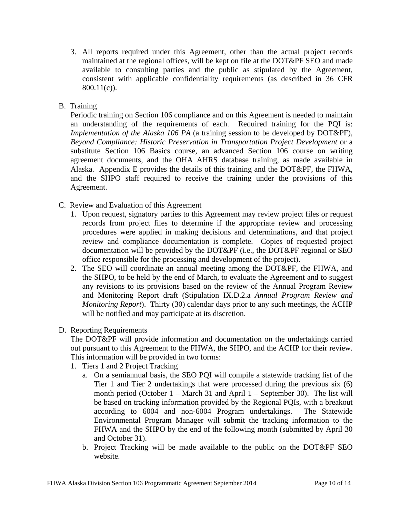3. All reports required under this Agreement, other than the actual project records maintained at the regional offices, will be kept on file at the DOT&PF SEO and made available to consulting parties and the public as stipulated by the Agreement, consistent with applicable confidentiality requirements (as described in 36 CFR 800.11(c)).

# B. Training

Periodic training on Section 106 compliance and on this Agreement is needed to maintain an understanding of the requirements of each. Required training for the PQI is: *Implementation of the Alaska 106 PA* (a training session to be developed by DOT&PF), *Beyond Compliance: Historic Preservation in Transportation Project Development* or a substitute Section 106 Basics course, an advanced Section 106 course on writing agreement documents, and the OHA AHRS database training, as made available in Alaska. Appendix E provides the details of this training and the DOT&PF, the FHWA, and the SHPO staff required to receive the training under the provisions of this Agreement.

- C. Review and Evaluation of this Agreement
	- 1. Upon request, signatory parties to this Agreement may review project files or request records from project files to determine if the appropriate review and processing procedures were applied in making decisions and determinations, and that project review and compliance documentation is complete. Copies of requested project documentation will be provided by the DOT&PF (i.e., the DOT&PF regional or SEO office responsible for the processing and development of the project).
	- 2. The SEO will coordinate an annual meeting among the DOT&PF, the FHWA, and the SHPO, to be held by the end of March, to evaluate the Agreement and to suggest any revisions to its provisions based on the review of the Annual Program Review and Monitoring Report draft (Stipulation IX.D.2.a *Annual Program Review and Monitoring Report*). Thirty (30) calendar days prior to any such meetings, the ACHP will be notified and may participate at its discretion.

# D. Reporting Requirements

The DOT&PF will provide information and documentation on the undertakings carried out pursuant to this Agreement to the FHWA, the SHPO, and the ACHP for their review. This information will be provided in two forms:

- 1. Tiers 1 and 2 Project Tracking
	- a. On a semiannual basis, the SEO PQI will compile a statewide tracking list of the Tier 1 and Tier 2 undertakings that were processed during the previous six (6) month period (October 1 – March 31 and April 1 – September 30). The list will be based on tracking information provided by the Regional PQIs, with a breakout according to 6004 and non-6004 Program undertakings. The Statewide Environmental Program Manager will submit the tracking information to the FHWA and the SHPO by the end of the following month (submitted by April 30 and October 31).
	- b. Project Tracking will be made available to the public on the DOT&PF SEO website.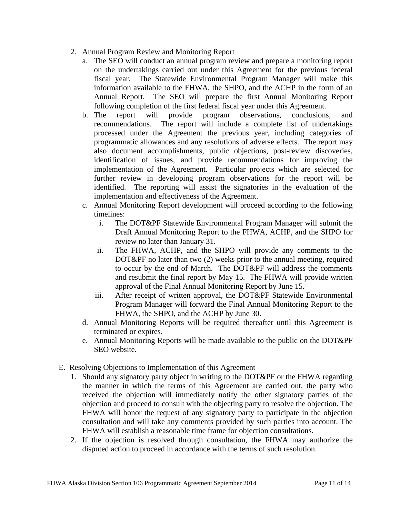- 2. Annual Program Review and Monitoring Report
	- a. The SEO will conduct an annual program review and prepare a monitoring report on the undertakings carried out under this Agreement for the previous federal fiscal year. The Statewide Environmental Program Manager will make this information available to the FHWA, the SHPO, and the ACHP in the form of an Annual Report. The SEO will prepare the first Annual Monitoring Report following completion of the first federal fiscal year under this Agreement.
	- b. The report will provide program observations, conclusions, and recommendations. The report will include a complete list of undertakings processed under the Agreement the previous year, including categories of programmatic allowances and any resolutions of adverse effects. The report may also document accomplishments, public objections, post-review discoveries, identification of issues, and provide recommendations for improving the implementation of the Agreement. Particular projects which are selected for further review in developing program observations for the report will be identified. The reporting will assist the signatories in the evaluation of the implementation and effectiveness of the Agreement.
	- c. Annual Monitoring Report development will proceed according to the following timelines:
		- i. The DOT&PF Statewide Environmental Program Manager will submit the Draft Annual Monitoring Report to the FHWA, ACHP, and the SHPO for review no later than January 31.
		- ii. The FHWA, ACHP, and the SHPO will provide any comments to the DOT&PF no later than two (2) weeks prior to the annual meeting, required to occur by the end of March. The DOT&PF will address the comments and resubmit the final report by May 15. The FHWA will provide written approval of the Final Annual Monitoring Report by June 15.
		- iii. After receipt of written approval, the DOT&PF Statewide Environmental Program Manager will forward the Final Annual Monitoring Report to the FHWA, the SHPO, and the ACHP by June 30.
	- d. Annual Monitoring Reports will be required thereafter until this Agreement is terminated or expires.
	- e. Annual Monitoring Reports will be made available to the public on the DOT&PF SEO website.
- E. Resolving Objections to Implementation of this Agreement
	- 1. Should any signatory party object in writing to the DOT&PF or the FHWA regarding the manner in which the terms of this Agreement are carried out, the party who received the objection will immediately notify the other signatory parties of the objection and proceed to consult with the objecting party to resolve the objection. The FHWA will honor the request of any signatory party to participate in the objection consultation and will take any comments provided by such parties into account. The FHWA will establish a reasonable time frame for objection consultations.
	- 2. If the objection is resolved through consultation, the FHWA may authorize the disputed action to proceed in accordance with the terms of such resolution.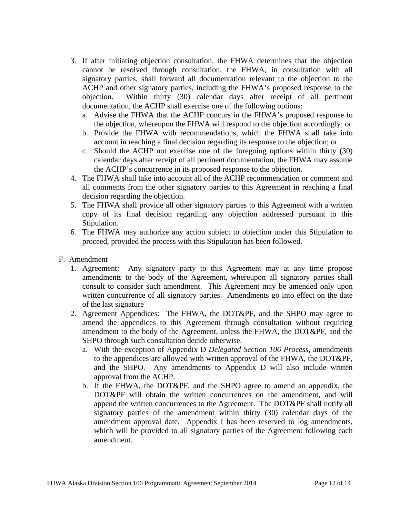- 3. If after initiating objection consultation, the FHWA determines that the objection cannot be resolved through consultation, the FHWA, in consultation with all signatory parties, shall forward all documentation relevant to the objection to the ACHP and other signatory parties, including the FHWA's proposed response to the objection. Within thirty (30) calendar days after receipt of all pertinent documentation, the ACHP shall exercise one of the following options:
	- a. Advise the FHWA that the ACHP concurs in the FHWA's proposed response to the objection, whereupon the FHWA will respond to the objection accordingly; or
	- b. Provide the FHWA with recommendations, which the FHWA shall take into account in reaching a final decision regarding its response to the objection; or
	- c. Should the ACHP not exercise one of the foregoing options within thirty (30) calendar days after receipt of all pertinent documentation, the FHWA may assume the ACHP's concurrence in its proposed response to the objection.
- 4. The FHWA shall take into account all of the ACHP recommendation or comment and all comments from the other signatory parties to this Agreement in reaching a final decision regarding the objection.
- 5. The FHWA shall provide all other signatory parties to this Agreement with a written copy of its final decision regarding any objection addressed pursuant to this Stipulation.
- 6. The FHWA may authorize any action subject to objection under this Stipulation to proceed, provided the process with this Stipulation has been followed.
- F. Amendment
	- 1. Agreement: Any signatory party to this Agreement may at any time propose amendments to the body of the Agreement, whereupon all signatory parties shall consult to consider such amendment. This Agreement may be amended only upon written concurrence of all signatory parties. Amendments go into effect on the date of the last signature
	- 2. Agreement Appendices: The FHWA, the DOT&PF, and the SHPO may agree to amend the appendices to this Agreement through consultation without requiring amendment to the body of the Agreement, unless the FHWA, the DOT&PF, and the SHPO through such consultation decide otherwise.
		- a. With the exception of Appendix D *Delegated Section 106 Process*, amendments to the appendices are allowed with written approval of the FHWA, the DOT&PF, and the SHPO. Any amendments to Appendix D will also include written approval from the ACHP.
		- b. If the FHWA, the DOT&PF, and the SHPO agree to amend an appendix, the DOT&PF will obtain the written concurrences on the amendment, and will append the written concurrences to the Agreement. The DOT&PF shall notify all signatory parties of the amendment within thirty (30) calendar days of the amendment approval date. Appendix I has been reserved to log amendments, which will be provided to all signatory parties of the Agreement following each amendment.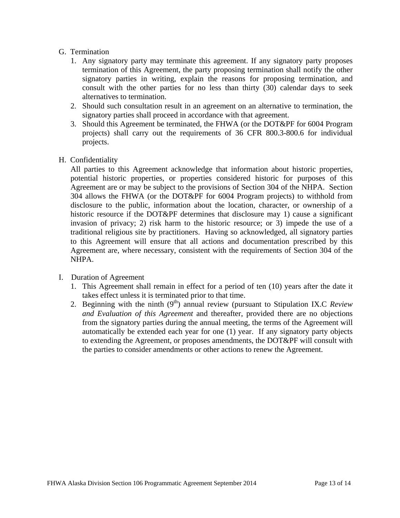#### G. Termination

- 1. Any signatory party may terminate this agreement. If any signatory party proposes termination of this Agreement, the party proposing termination shall notify the other signatory parties in writing, explain the reasons for proposing termination, and consult with the other parties for no less than thirty (30) calendar days to seek alternatives to termination.
- 2. Should such consultation result in an agreement on an alternative to termination, the signatory parties shall proceed in accordance with that agreement.
- 3. Should this Agreement be terminated, the FHWA (or the DOT&PF for 6004 Program projects) shall carry out the requirements of 36 CFR 800.3-800.6 for individual projects.
- H. Confidentiality

All parties to this Agreement acknowledge that information about historic properties, potential historic properties, or properties considered historic for purposes of this Agreement are or may be subject to the provisions of Section 304 of the NHPA. Section 304 allows the FHWA (or the DOT&PF for 6004 Program projects) to withhold from disclosure to the public, information about the location, character, or ownership of a historic resource if the DOT&PF determines that disclosure may 1) cause a significant invasion of privacy; 2) risk harm to the historic resource; or 3) impede the use of a traditional religious site by practitioners. Having so acknowledged, all signatory parties to this Agreement will ensure that all actions and documentation prescribed by this Agreement are, where necessary, consistent with the requirements of Section 304 of the NHPA.

- I. Duration of Agreement
	- 1. This Agreement shall remain in effect for a period of ten (10) years after the date it takes effect unless it is terminated prior to that time.
	- 2. Beginning with the ninth (9<sup>th</sup>) annual review (pursuant to Stipulation IX.C *Review and Evaluation of this Agreement* and thereafter, provided there are no objections from the signatory parties during the annual meeting, the terms of the Agreement will automatically be extended each year for one (1) year. If any signatory party objects to extending the Agreement, or proposes amendments, the DOT&PF will consult with the parties to consider amendments or other actions to renew the Agreement.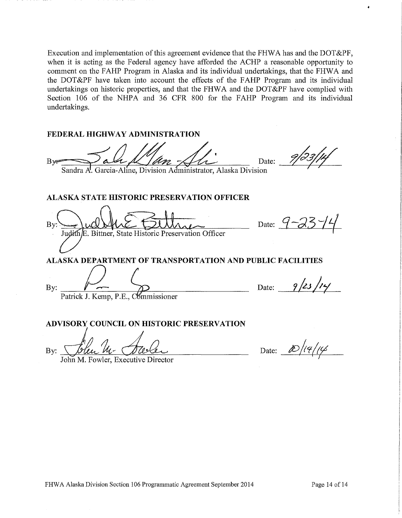Execution and implementation of this agreement evidence that the FHWA has and the DOT&PF, when it is acting as the Federal agency have afforded the ACHP a reasonable opportunity to comment on the FAHP Program in Alaska and its individual undertakings, that the FHWA and the DOT&PF have taken into account the effects of the FAHP Program and its individual undertakings on historic properties, and that the FHWA and the DOT&PF have complied with Section 106 of the NHPA and 36 CFR 800 for the FAHP Program and its individual undertakings.

#### **FEDERAL HIGHWAY ADMINISTRATION**

 $By = \sqrt{a\alpha \mu / m / m^2}$  Date:

Sandra A. Garcia-Aline, Division Administrator, Alaska Division

# **ALASKA STATE HISTORIC PRESERVATION OFFICER**

By E. Bittner, State Historic Preservation Officer

Date:  $9 - 23 - 14$ 

Date:  $9/23/14/$ 

**ALASKA DEPARTMENT OF TRANSPORTATION AND PUBLIC FACILITIES** 

By:

Patrick J. Kemp, P.E., Commissioner

# ADVISORY COUNCIL ON HISTORIC PRESERVATION

 $\mathbf{By:}$ 

John M. Fowler, Executive Director

Date: *to /14/14*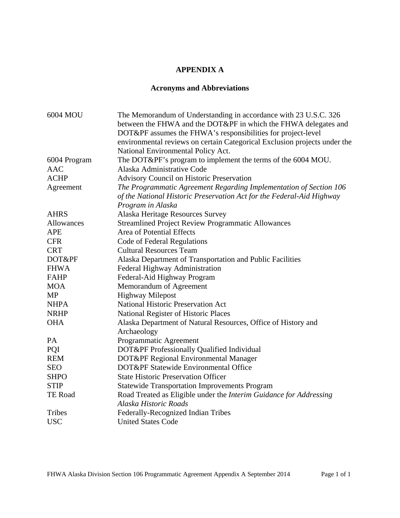# **APPENDIX A**

# **Acronyms and Abbreviations**

| 6004 MOU       | The Memorandum of Understanding in accordance with 23 U.S.C. 326          |
|----------------|---------------------------------------------------------------------------|
|                | between the FHWA and the DOT&PF in which the FHWA delegates and           |
|                | DOT&PF assumes the FHWA's responsibilities for project-level              |
|                | environmental reviews on certain Categorical Exclusion projects under the |
|                | National Environmental Policy Act.                                        |
| 6004 Program   | The DOT&PF's program to implement the terms of the 6004 MOU.              |
| <b>AAC</b>     | Alaska Administrative Code                                                |
| <b>ACHP</b>    | Advisory Council on Historic Preservation                                 |
| Agreement      | The Programmatic Agreement Regarding Implementation of Section 106        |
|                | of the National Historic Preservation Act for the Federal-Aid Highway     |
|                | Program in Alaska                                                         |
| <b>AHRS</b>    | Alaska Heritage Resources Survey                                          |
| Allowances     | <b>Streamlined Project Review Programmatic Allowances</b>                 |
| <b>APE</b>     | Area of Potential Effects                                                 |
| <b>CFR</b>     | Code of Federal Regulations                                               |
| <b>CRT</b>     | <b>Cultural Resources Team</b>                                            |
| DOT&PF         | Alaska Department of Transportation and Public Facilities                 |
| <b>FHWA</b>    | Federal Highway Administration                                            |
| <b>FAHP</b>    | Federal-Aid Highway Program                                               |
| <b>MOA</b>     | Memorandum of Agreement                                                   |
| <b>MP</b>      | <b>Highway Milepost</b>                                                   |
| <b>NHPA</b>    | National Historic Preservation Act                                        |
| <b>NRHP</b>    | National Register of Historic Places                                      |
| <b>OHA</b>     | Alaska Department of Natural Resources, Office of History and             |
|                | Archaeology                                                               |
| PA             | Programmatic Agreement                                                    |
| PQI            | DOT&PF Professionally Qualified Individual                                |
| <b>REM</b>     | DOT&PF Regional Environmental Manager                                     |
| <b>SEO</b>     | DOT&PF Statewide Environmental Office                                     |
| <b>SHPO</b>    | <b>State Historic Preservation Officer</b>                                |
| <b>STIP</b>    | <b>Statewide Transportation Improvements Program</b>                      |
| <b>TE Road</b> | Road Treated as Eligible under the Interim Guidance for Addressing        |
|                | Alaska Historic Roads                                                     |
| Tribes         | Federally-Recognized Indian Tribes                                        |
| <b>USC</b>     | <b>United States Code</b>                                                 |
|                |                                                                           |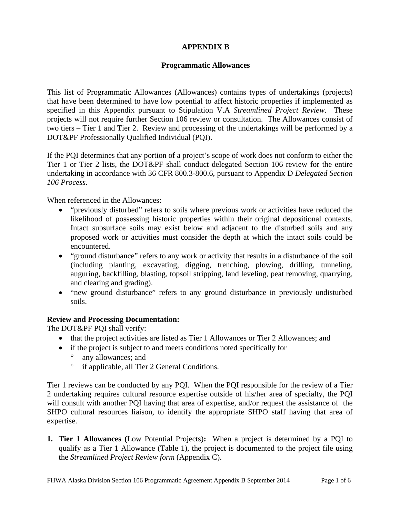# **APPENDIX B**

#### **Programmatic Allowances**

This list of Programmatic Allowances (Allowances) contains types of undertakings (projects) that have been determined to have low potential to affect historic properties if implemented as specified in this Appendix pursuant to Stipulation V.A *Streamlined Project Review*. These projects will not require further Section 106 review or consultation. The Allowances consist of two tiers – Tier 1 and Tier 2. Review and processing of the undertakings will be performed by a DOT&PF Professionally Qualified Individual (PQI).

If the PQI determines that any portion of a project's scope of work does not conform to either the Tier 1 or Tier 2 lists, the DOT&PF shall conduct delegated Section 106 review for the entire undertaking in accordance with 36 CFR 800.3-800.6, pursuant to Appendix D *Delegated Section 106 Process*.

When referenced in the Allowances:

- "previously disturbed" refers to soils where previous work or activities have reduced the likelihood of possessing historic properties within their original depositional contexts. Intact subsurface soils may exist below and adjacent to the disturbed soils and any proposed work or activities must consider the depth at which the intact soils could be encountered.
- "ground disturbance" refers to any work or activity that results in a disturbance of the soil (including planting, excavating, digging, trenching, plowing, drilling, tunneling, auguring, backfilling, blasting, topsoil stripping, land leveling, peat removing, quarrying, and clearing and grading).
- "new ground disturbance" refers to any ground disturbance in previously undisturbed soils.

# **Review and Processing Documentation:**

The DOT&PF PQI shall verify:

- that the project activities are listed as Tier 1 Allowances or Tier 2 Allowances; and
- if the project is subject to and meets conditions noted specifically for
	- <sup>o</sup> any allowances; and
	- <sup>o</sup> if applicable, all Tier 2 General Conditions.

Tier 1 reviews can be conducted by any PQI. When the PQI responsible for the review of a Tier 2 undertaking requires cultural resource expertise outside of his/her area of specialty, the PQI will consult with another PQI having that area of expertise, and/or request the assistance of the SHPO cultural resources liaison, to identify the appropriate SHPO staff having that area of expertise.

**1. Tier 1 Allowances (**Low Potential Projects)**:** When a project is determined by a PQI to qualify as a Tier 1 Allowance (Table 1), the project is documented to the project file using the *Streamlined Project Review form* (Appendix C).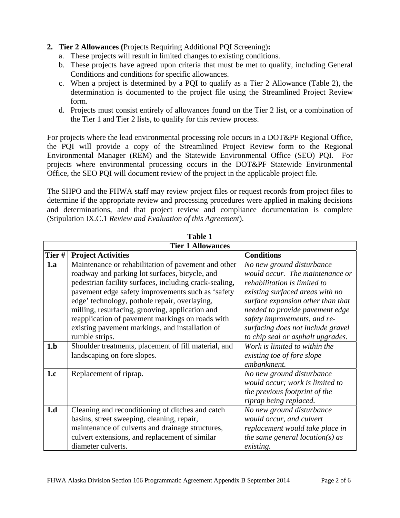# **2. Tier 2 Allowances (**Projects Requiring Additional PQI Screening)**:**

- a. These projects will result in limited changes to existing conditions.
- b. These projects have agreed upon criteria that must be met to qualify, including General Conditions and conditions for specific allowances.
- c. When a project is determined by a PQI to qualify as a Tier 2 Allowance (Table 2), the determination is documented to the project file using the Streamlined Project Review form.
- d. Projects must consist entirely of allowances found on the Tier 2 list, or a combination of the Tier 1 and Tier 2 lists, to qualify for this review process.

For projects where the lead environmental processing role occurs in a DOT&PF Regional Office, the PQI will provide a copy of the Streamlined Project Review form to the Regional Environmental Manager (REM) and the Statewide Environmental Office (SEO) PQI. For projects where environmental processing occurs in the DOT&PF Statewide Environmental Office, the SEO PQI will document review of the project in the applicable project file.

The SHPO and the FHWA staff may review project files or request records from project files to determine if the appropriate review and processing procedures were applied in making decisions and determinations, and that project review and compliance documentation is complete (Stipulation IX.C.1 *Review and Evaluation of this Agreement*).

| Table 1 |                                                        |                                     |  |  |  |
|---------|--------------------------------------------------------|-------------------------------------|--|--|--|
|         | <b>Tier 1 Allowances</b>                               |                                     |  |  |  |
| Tier #  | <b>Project Activities</b>                              | <b>Conditions</b>                   |  |  |  |
| 1.a     | Maintenance or rehabilitation of pavement and other    | No new ground disturbance           |  |  |  |
|         | roadway and parking lot surfaces, bicycle, and         | would occur. The maintenance or     |  |  |  |
|         | pedestrian facility surfaces, including crack-sealing, | rehabilitation is limited to        |  |  |  |
|         | pavement edge safety improvements such as 'safety      | existing surfaced areas with no     |  |  |  |
|         | edge' technology, pothole repair, overlaying,          | surface expansion other than that   |  |  |  |
|         | milling, resurfacing, grooving, application and        | needed to provide pavement edge     |  |  |  |
|         | reapplication of pavement markings on roads with       | safety improvements, and re-        |  |  |  |
|         | existing pavement markings, and installation of        | surfacing does not include gravel   |  |  |  |
|         | rumble strips.                                         | to chip seal or asphalt upgrades.   |  |  |  |
| 1.b     | Shoulder treatments, placement of fill material, and   | Work is limited to within the       |  |  |  |
|         | landscaping on fore slopes.                            | existing toe of fore slope          |  |  |  |
|         |                                                        | embankment.                         |  |  |  |
| 1.c     | Replacement of riprap.                                 | No new ground disturbance           |  |  |  |
|         |                                                        | would occur; work is limited to     |  |  |  |
|         |                                                        | the previous footprint of the       |  |  |  |
|         |                                                        | riprap being replaced.              |  |  |  |
| 1.d     | Cleaning and reconditioning of ditches and catch       | No new ground disturbance           |  |  |  |
|         | basins, street sweeping, cleaning, repair,             | would occur, and culvert            |  |  |  |
|         | maintenance of culverts and drainage structures,       | replacement would take place in     |  |  |  |
|         | culvert extensions, and replacement of similar         | the same general location( $s$ ) as |  |  |  |
|         | diameter culverts.                                     | existing.                           |  |  |  |

**Table 1 1**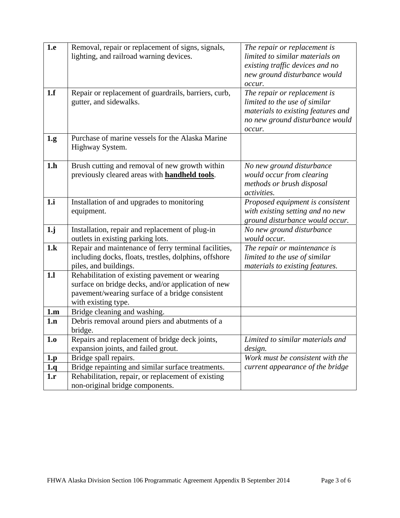| 1.e            | Removal, repair or replacement of signs, signals,<br>lighting, and railroad warning devices.                                                                                   | The repair or replacement is<br>limited to similar materials on<br>existing traffic devices and no<br>new ground disturbance would<br>occur.     |
|----------------|--------------------------------------------------------------------------------------------------------------------------------------------------------------------------------|--------------------------------------------------------------------------------------------------------------------------------------------------|
| 1.f            | Repair or replacement of guardrails, barriers, curb,<br>gutter, and sidewalks.                                                                                                 | The repair or replacement is<br>limited to the use of similar<br>materials to existing features and<br>no new ground disturbance would<br>occur. |
| 1.g.           | Purchase of marine vessels for the Alaska Marine<br>Highway System.                                                                                                            |                                                                                                                                                  |
| 1.h            | Brush cutting and removal of new growth within<br>previously cleared areas with <b>handheld tools</b> .                                                                        | No new ground disturbance<br>would occur from clearing<br>methods or brush disposal<br>activities.                                               |
| 1.i            | Installation of and upgrades to monitoring<br>equipment.                                                                                                                       | Proposed equipment is consistent<br>with existing setting and no new<br>ground disturbance would occur.                                          |
| 1 <sub>j</sub> | Installation, repair and replacement of plug-in<br>outlets in existing parking lots.                                                                                           | No new ground disturbance<br>would occur.                                                                                                        |
| 1.k            | Repair and maintenance of ferry terminal facilities,<br>including docks, floats, trestles, dolphins, offshore<br>piles, and buildings.                                         | The repair or maintenance is<br>limited to the use of similar<br>materials to existing features.                                                 |
| <b>1.1</b>     | Rehabilitation of existing pavement or wearing<br>surface on bridge decks, and/or application of new<br>pavement/wearing surface of a bridge consistent<br>with existing type. |                                                                                                                                                  |
| 1.m            | Bridge cleaning and washing.                                                                                                                                                   |                                                                                                                                                  |
| 1.n            | Debris removal around piers and abutments of a<br>bridge.                                                                                                                      |                                                                                                                                                  |
| 1.0            | Repairs and replacement of bridge deck joints,<br>expansion joints, and failed grout.                                                                                          | Limited to similar materials and<br>design.                                                                                                      |
| 1.p            | Bridge spall repairs.                                                                                                                                                          | Work must be consistent with the                                                                                                                 |
| 1.q            | Bridge repainting and similar surface treatments.                                                                                                                              | current appearance of the bridge                                                                                                                 |
| 1.r            | Rehabilitation, repair, or replacement of existing<br>non-original bridge components.                                                                                          |                                                                                                                                                  |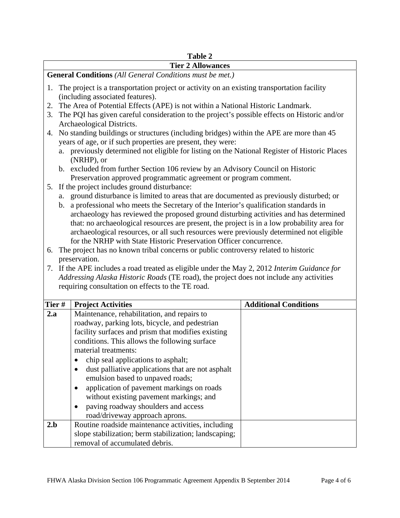#### **Table 2**

#### **Tier 2 Allowances**

**General Conditions** *(All General Conditions must be met.)*

- 1. The project is a transportation project or activity on an existing transportation facility (including associated features).
- 2. The Area of Potential Effects (APE) is not within a National Historic Landmark.
- 3. The PQI has given careful consideration to the project's possible effects on Historic and/or Archaeological Districts.
- 4. No standing buildings or structures (including bridges) within the APE are more than 45 years of age, or if such properties are present, they were:
	- a. previously determined not eligible for listing on the National Register of Historic Places (NRHP), or
	- b. excluded from further Section 106 review by an Advisory Council on Historic Preservation approved programmatic agreement or program comment.
- 5. If the project includes ground disturbance:
	- a. ground disturbance is limited to areas that are documented as previously disturbed; or
	- b. a professional who meets the Secretary of the Interior's qualification standards in archaeology has reviewed the proposed ground disturbing activities and has determined that: no archaeological resources are present, the project is in a low probability area for archaeological resources, or all such resources were previously determined not eligible for the NRHP with State Historic Preservation Officer concurrence.
- 6. The project has no known tribal concerns or public controversy related to historic preservation.
- 7. If the APE includes a road treated as eligible under the May 2, 2012 *Interim Guidance for Addressing Alaska Historic Roads* (TE road), the project does not include any activities requiring consultation on effects to the TE road.

| Tier# | <b>Project Activities</b>                             | <b>Additional Conditions</b> |
|-------|-------------------------------------------------------|------------------------------|
| 2.a   | Maintenance, rehabilitation, and repairs to           |                              |
|       | roadway, parking lots, bicycle, and pedestrian        |                              |
|       | facility surfaces and prism that modifies existing    |                              |
|       | conditions. This allows the following surface         |                              |
|       | material treatments:                                  |                              |
|       | chip seal applications to asphalt;                    |                              |
|       | dust palliative applications that are not asphalt     |                              |
|       | emulsion based to unpaved roads;                      |                              |
|       | application of pavement markings on roads             |                              |
|       | without existing pavement markings; and               |                              |
|       | paving roadway shoulders and access                   |                              |
|       | road/driveway approach aprons.                        |                              |
| 2.b   | Routine roadside maintenance activities, including    |                              |
|       | slope stabilization; berm stabilization; landscaping; |                              |
|       | removal of accumulated debris.                        |                              |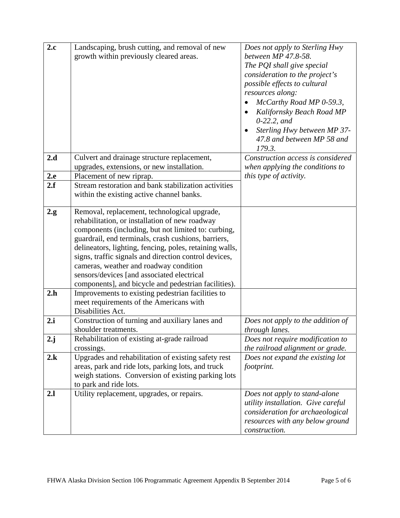| 2.c             | Landscaping, brush cutting, and removal of new<br>growth within previously cleared areas.                                                                                                                                                                                                                                                                                                                                                                                        | Does not apply to Sterling Hwy<br>between MP 47.8-58.<br>The PQI shall give special<br>consideration to the project's<br>possible effects to cultural<br>resources along:<br>McCarthy Road MP 0-59.3,<br>Kalifornsky Beach Road MP<br>$0-22.2$ , and<br>Sterling Hwy between MP 37-<br>47.8 and between MP 58 and<br>179.3. |
|-----------------|----------------------------------------------------------------------------------------------------------------------------------------------------------------------------------------------------------------------------------------------------------------------------------------------------------------------------------------------------------------------------------------------------------------------------------------------------------------------------------|-----------------------------------------------------------------------------------------------------------------------------------------------------------------------------------------------------------------------------------------------------------------------------------------------------------------------------|
| 2.d             | Culvert and drainage structure replacement,<br>upgrades, extensions, or new installation.                                                                                                                                                                                                                                                                                                                                                                                        | Construction access is considered<br>when applying the conditions to                                                                                                                                                                                                                                                        |
| 2.e<br>2.f      | Placement of new riprap.<br>Stream restoration and bank stabilization activities<br>within the existing active channel banks.                                                                                                                                                                                                                                                                                                                                                    | this type of activity.                                                                                                                                                                                                                                                                                                      |
| 2.g.            | Removal, replacement, technological upgrade,<br>rehabilitation, or installation of new roadway<br>components (including, but not limited to: curbing,<br>guardrail, end terminals, crash cushions, barriers,<br>delineators, lighting, fencing, poles, retaining walls,<br>signs, traffic signals and direction control devices,<br>cameras, weather and roadway condition<br>sensors/devices [and associated electrical<br>components], and bicycle and pedestrian facilities). |                                                                                                                                                                                                                                                                                                                             |
| 2.h             | Improvements to existing pedestrian facilities to<br>meet requirements of the Americans with<br>Disabilities Act.                                                                                                                                                                                                                                                                                                                                                                |                                                                                                                                                                                                                                                                                                                             |
| 2.i             | Construction of turning and auxiliary lanes and<br>shoulder treatments.                                                                                                                                                                                                                                                                                                                                                                                                          | Does not apply to the addition of<br>through lanes.                                                                                                                                                                                                                                                                         |
| $2 \mathbf{.j}$ | Rehabilitation of existing at-grade railroad<br>crossings.                                                                                                                                                                                                                                                                                                                                                                                                                       | Does not require modification to<br>the railroad alignment or grade.                                                                                                                                                                                                                                                        |
| 2.k             | Upgrades and rehabilitation of existing safety rest<br>areas, park and ride lots, parking lots, and truck<br>weigh stations. Conversion of existing parking lots<br>to park and ride lots.                                                                                                                                                                                                                                                                                       | Does not expand the existing lot<br>footprint.                                                                                                                                                                                                                                                                              |
| 2.1             | Utility replacement, upgrades, or repairs.                                                                                                                                                                                                                                                                                                                                                                                                                                       | Does not apply to stand-alone<br>utility installation. Give careful<br>consideration for archaeological<br>resources with any below ground<br>construction.                                                                                                                                                                 |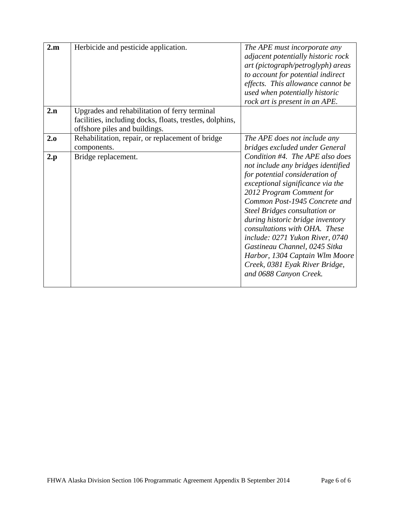| 2.m | Herbicide and pesticide application.                                                                                                       | The APE must incorporate any<br>adjacent potentially historic rock<br>art (pictograph/petroglyph) areas<br>to account for potential indirect<br>effects. This allowance cannot be<br>used when potentially historic<br>rock art is present in an APE.                                                                                                                                                                                                                            |
|-----|--------------------------------------------------------------------------------------------------------------------------------------------|----------------------------------------------------------------------------------------------------------------------------------------------------------------------------------------------------------------------------------------------------------------------------------------------------------------------------------------------------------------------------------------------------------------------------------------------------------------------------------|
| 2.n | Upgrades and rehabilitation of ferry terminal<br>facilities, including docks, floats, trestles, dolphins,<br>offshore piles and buildings. |                                                                                                                                                                                                                                                                                                                                                                                                                                                                                  |
| 2.0 | Rehabilitation, repair, or replacement of bridge<br>components.                                                                            | The APE does not include any<br>bridges excluded under General                                                                                                                                                                                                                                                                                                                                                                                                                   |
| 2.p | Bridge replacement.                                                                                                                        | Condition #4. The APE also does<br>not include any bridges identified<br>for potential consideration of<br>exceptional significance via the<br>2012 Program Comment for<br>Common Post-1945 Concrete and<br>Steel Bridges consultation or<br>during historic bridge inventory<br>consultations with OHA. These<br>include: 0271 Yukon River, 0740<br>Gastineau Channel, 0245 Sitka<br>Harbor, 1304 Captain Wlm Moore<br>Creek, 0381 Eyak River Bridge,<br>and 0688 Canyon Creek. |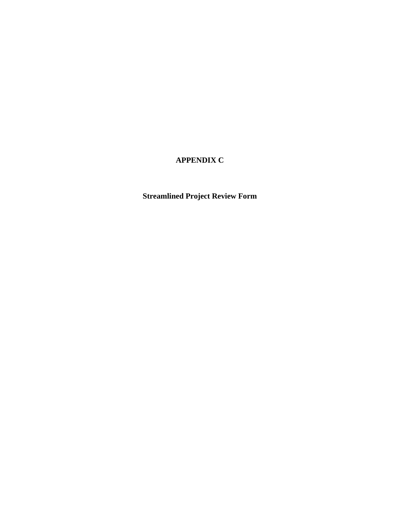# **APPENDIX C**

# **Streamlined Project Review Form**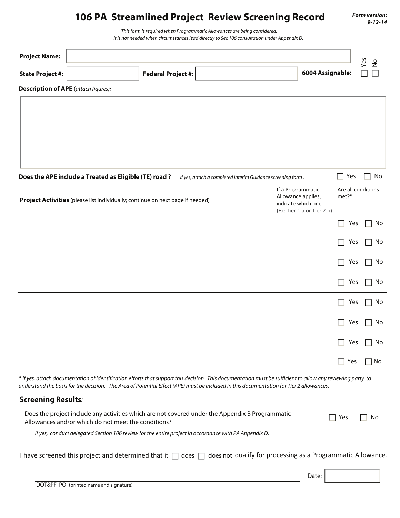# **106 PA Streamlined Project Review Screening Record**

**Form version: 9-12-14**

This form is required when Programmatic Allowances are being considered. It is not needed when circumstances lead directly to Sec 106 consultation under Appendix D.

| <b>Project Name:</b> |                           |                  | S<br>Φ |
|----------------------|---------------------------|------------------|--------|
| State Project #:     | <b>Federal Project #:</b> | 6004 Assignable: | _      |
| $\sim$<br>.          |                           |                  |        |

**Description of APE** (attach figures):

**Does the APE include a Treated as Eligible (TE) road ?** If yes, attach a completed Interim Guidance screening form .  $\Box$  Yes  $\Box$  No

| Project Activities (please list individually; continue on next page if needed) | If a Programmatic<br>Allowance applies,<br>indicate which one<br>(Ex: Tier 1.a or Tier 2.b) | Are all conditions<br>met?* |    |
|--------------------------------------------------------------------------------|---------------------------------------------------------------------------------------------|-----------------------------|----|
|                                                                                |                                                                                             | Yes                         | No |
|                                                                                |                                                                                             | Yes                         | No |
|                                                                                |                                                                                             | Yes                         | No |
|                                                                                |                                                                                             | Yes                         | No |
|                                                                                |                                                                                             | Yes                         | No |
|                                                                                |                                                                                             | Yes                         | No |
|                                                                                |                                                                                             | Yes                         | No |
|                                                                                |                                                                                             | Yes                         | No |

\* If yes, attach documentation of identification efforts that support this decision. This documentation must be sufficient to allow any reviewing party to understand the basis for the decision. The Area of Potential Effect (APE) must be included in this documentation for Tier 2 allowances.

#### **Screening Results**:

| Does the project include any activities which are not covered under the Appendix B Programmatic | $\Box$ Yes $\Box$ No |  |
|-------------------------------------------------------------------------------------------------|----------------------|--|
| Allowances and/or which do not meet the conditions?                                             |                      |  |

If yes, conduct delegated Section 106 review for the entire project in accordance with PA Appendix D.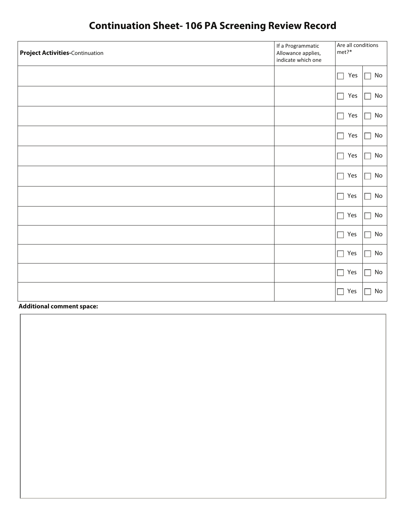# **Continuation Sheet- 106 PA Screening Review Record**

| <b>Project Activities-Continuation</b> | If a Programmatic<br>Allowance applies,<br>indicate which one | Are all conditions<br>met?* |              |
|----------------------------------------|---------------------------------------------------------------|-----------------------------|--------------|
|                                        |                                                               | Yes<br>$\Box$               | No<br>П      |
|                                        |                                                               | Yes<br>$\Box$               | No<br>П      |
|                                        |                                                               | П<br>Yes                    | No<br>П      |
|                                        |                                                               | Yes<br>$\Box$               | No<br>$\Box$ |
|                                        |                                                               | $\Box$<br>Yes               | No<br>П      |
|                                        |                                                               | $\Box$<br>Yes               | No<br>$\Box$ |
|                                        |                                                               | $\Box$ Yes                  | No<br>П      |
|                                        |                                                               | $\Box$<br>Yes               | No<br>П      |
|                                        |                                                               | Yes<br>$\Box$               | No<br>П      |
|                                        |                                                               | Yes<br>$\Box$               | No<br>$\Box$ |
|                                        |                                                               | Yes<br>$\Box$               | No<br>П      |
|                                        |                                                               | Yes<br>$\Box$               | No           |

**Additional comment space:**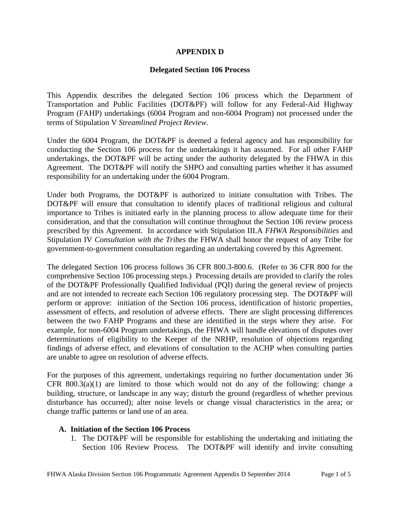#### **APPENDIX D**

#### **Delegated Section 106 Process**

This Appendix describes the delegated Section 106 process which the Department of Transportation and Public Facilities (DOT&PF) will follow for any Federal-Aid Highway Program (FAHP) undertakings (6004 Program and non-6004 Program) not processed under the terms of Stipulation V *Streamlined Project Review*.

Under the 6004 Program, the DOT&PF is deemed a federal agency and has responsibility for conducting the Section 106 process for the undertakings it has assumed. For all other FAHP undertakings, the DOT&PF will be acting under the authority delegated by the FHWA in this Agreement. The DOT&PF will notify the SHPO and consulting parties whether it has assumed responsibility for an undertaking under the 6004 Program.

Under both Programs, the DOT&PF is authorized to initiate consultation with Tribes. The DOT&PF will ensure that consultation to identify places of traditional religious and cultural importance to Tribes is initiated early in the planning process to allow adequate time for their consideration, and that the consultation will continue throughout the Section 106 review process prescribed by this Agreement. In accordance with Stipulation III.A *FHWA Responsibilities* and Stipulation IV *Consultation with the Tribes* the FHWA shall honor the request of any Tribe for government-to-government consultation regarding an undertaking covered by this Agreement.

The delegated Section 106 process follows 36 CFR 800.3-800.6. (Refer to 36 CFR 800 for the comprehensive Section 106 processing steps.) Processing details are provided to clarify the roles of the DOT&PF Professionally Qualified Individual (PQI) during the general review of projects and are not intended to recreate each Section 106 regulatory processing step. The DOT&PF will perform or approve: initiation of the Section 106 process, identification of historic properties, assessment of effects, and resolution of adverse effects. There are slight processing differences between the two FAHP Programs and these are identified in the steps where they arise. For example, for non-6004 Program undertakings, the FHWA will handle elevations of disputes over determinations of eligibility to the Keeper of the NRHP, resolution of objections regarding findings of adverse effect, and elevations of consultation to the ACHP when consulting parties are unable to agree on resolution of adverse effects.

For the purposes of this agreement, undertakings requiring no further documentation under 36 CFR  $800.3(a)(1)$  are limited to those which would not do any of the following: change a building, structure, or landscape in any way; disturb the ground (regardless of whether previous disturbance has occurred); alter noise levels or change visual characteristics in the area; or change traffic patterns or land use of an area.

#### **A. Initiation of the Section 106 Process**

1. The DOT&PF will be responsible for establishing the undertaking and initiating the Section 106 Review Process. The DOT&PF will identify and invite consulting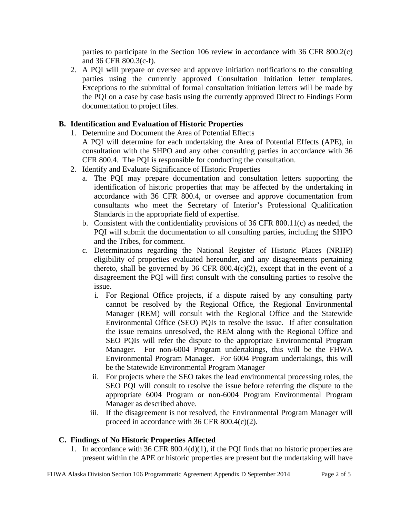parties to participate in the Section 106 review in accordance with 36 CFR 800.2(c) and 36 CFR 800.3(c-f).

2. A PQI will prepare or oversee and approve initiation notifications to the consulting parties using the currently approved Consultation Initiation letter templates. Exceptions to the submittal of formal consultation initiation letters will be made by the PQI on a case by case basis using the currently approved Direct to Findings Form documentation to project files.

# **B. Identification and Evaluation of Historic Properties**

1. Determine and Document the Area of Potential Effects

A PQI will determine for each undertaking the Area of Potential Effects (APE), in consultation with the SHPO and any other consulting parties in accordance with 36 CFR 800.4. The PQI is responsible for conducting the consultation.

- 2. Identify and Evaluate Significance of Historic Properties
	- a. The PQI may prepare documentation and consultation letters supporting the identification of historic properties that may be affected by the undertaking in accordance with 36 CFR 800.4, or oversee and approve documentation from consultants who meet the Secretary of Interior's Professional Qualification Standards in the appropriate field of expertise.
	- b. Consistent with the confidentiality provisions of 36 CFR 800.11(c) as needed, the PQI will submit the documentation to all consulting parties, including the SHPO and the Tribes, for comment.
	- c. Determinations regarding the National Register of Historic Places (NRHP) eligibility of properties evaluated hereunder, and any disagreements pertaining thereto, shall be governed by 36 CFR  $800.4(c)(2)$ , except that in the event of a disagreement the PQI will first consult with the consulting parties to resolve the issue.
		- i. For Regional Office projects, if a dispute raised by any consulting party cannot be resolved by the Regional Office, the Regional Environmental Manager (REM) will consult with the Regional Office and the Statewide Environmental Office (SEO) PQIs to resolve the issue. If after consultation the issue remains unresolved, the REM along with the Regional Office and SEO PQIs will refer the dispute to the appropriate Environmental Program Manager. For non-6004 Program undertakings, this will be the FHWA Environmental Program Manager. For 6004 Program undertakings, this will be the Statewide Environmental Program Manager
		- ii. For projects where the SEO takes the lead environmental processing roles, the SEO PQI will consult to resolve the issue before referring the dispute to the appropriate 6004 Program or non-6004 Program Environmental Program Manager as described above.
		- iii. If the disagreement is not resolved, the Environmental Program Manager will proceed in accordance with 36 CFR 800.4(c)(2).

#### **C. Findings of No Historic Properties Affected**

1. In accordance with 36 CFR 800.4(d)(1), if the PQI finds that no historic properties are present within the APE or historic properties are present but the undertaking will have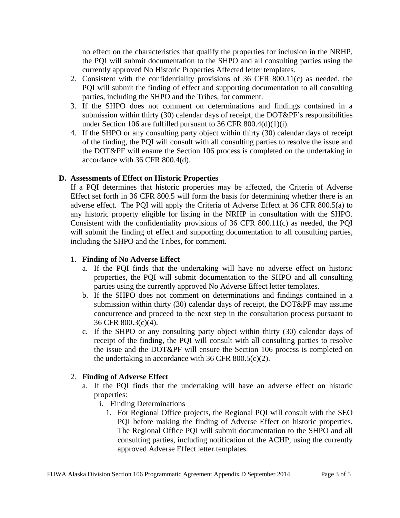no effect on the characteristics that qualify the properties for inclusion in the NRHP, the PQI will submit documentation to the SHPO and all consulting parties using the currently approved No Historic Properties Affected letter templates.

- 2. Consistent with the confidentiality provisions of 36 CFR 800.11(c) as needed, the PQI will submit the finding of effect and supporting documentation to all consulting parties, including the SHPO and the Tribes, for comment.
- 3. If the SHPO does not comment on determinations and findings contained in a submission within thirty (30) calendar days of receipt, the DOT&PF's responsibilities under Section 106 are fulfilled pursuant to 36 CFR 800.4(d)(1)(i).
- 4. If the SHPO or any consulting party object within thirty (30) calendar days of receipt of the finding, the PQI will consult with all consulting parties to resolve the issue and the DOT&PF will ensure the Section 106 process is completed on the undertaking in accordance with 36 CFR 800.4(d).

# **D. Assessments of Effect on Historic Properties**

If a PQI determines that historic properties may be affected, the Criteria of Adverse Effect set forth in 36 CFR 800.5 will form the basis for determining whether there is an adverse effect. The PQI will apply the Criteria of Adverse Effect at 36 CFR 800.5(a) to any historic property eligible for listing in the NRHP in consultation with the SHPO. Consistent with the confidentiality provisions of 36 CFR 800.11(c) as needed, the PQI will submit the finding of effect and supporting documentation to all consulting parties, including the SHPO and the Tribes, for comment.

#### 1. **Finding of No Adverse Effect**

- a. If the PQI finds that the undertaking will have no adverse effect on historic properties, the PQI will submit documentation to the SHPO and all consulting parties using the currently approved No Adverse Effect letter templates.
- b. If the SHPO does not comment on determinations and findings contained in a submission within thirty (30) calendar days of receipt, the DOT&PF may assume concurrence and proceed to the next step in the consultation process pursuant to 36 CFR 800.3(c)(4).
- c. If the SHPO or any consulting party object within thirty (30) calendar days of receipt of the finding, the PQI will consult with all consulting parties to resolve the issue and the DOT&PF will ensure the Section 106 process is completed on the undertaking in accordance with 36 CFR  $800.5(c)(2)$ .

#### 2. **Finding of Adverse Effect**

- a. If the PQI finds that the undertaking will have an adverse effect on historic properties:
	- i. Finding Determinations
		- 1. For Regional Office projects, the Regional PQI will consult with the SEO PQI before making the finding of Adverse Effect on historic properties. The Regional Office PQI will submit documentation to the SHPO and all consulting parties, including notification of the ACHP, using the currently approved Adverse Effect letter templates.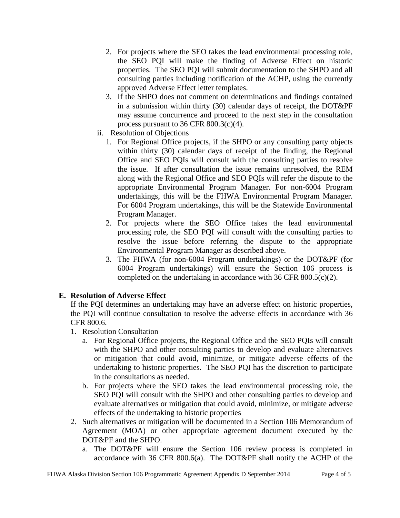- 2. For projects where the SEO takes the lead environmental processing role, the SEO PQI will make the finding of Adverse Effect on historic properties. The SEO PQI will submit documentation to the SHPO and all consulting parties including notification of the ACHP, using the currently approved Adverse Effect letter templates.
- 3. If the SHPO does not comment on determinations and findings contained in a submission within thirty (30) calendar days of receipt, the DOT&PF may assume concurrence and proceed to the next step in the consultation process pursuant to 36 CFR 800.3(c)(4).
- ii. Resolution of Objections
	- 1. For Regional Office projects, if the SHPO or any consulting party objects within thirty (30) calendar days of receipt of the finding, the Regional Office and SEO PQIs will consult with the consulting parties to resolve the issue. If after consultation the issue remains unresolved, the REM along with the Regional Office and SEO PQIs will refer the dispute to the appropriate Environmental Program Manager. For non-6004 Program undertakings, this will be the FHWA Environmental Program Manager. For 6004 Program undertakings, this will be the Statewide Environmental Program Manager.
	- 2. For projects where the SEO Office takes the lead environmental processing role, the SEO PQI will consult with the consulting parties to resolve the issue before referring the dispute to the appropriate Environmental Program Manager as described above.
	- 3. The FHWA (for non-6004 Program undertakings) or the DOT&PF (for 6004 Program undertakings) will ensure the Section 106 process is completed on the undertaking in accordance with 36 CFR 800.5(c)(2).

# **E. Resolution of Adverse Effect**

If the PQI determines an undertaking may have an adverse effect on historic properties, the PQI will continue consultation to resolve the adverse effects in accordance with 36 CFR 800.6.

- 1. Resolution Consultation
	- a. For Regional Office projects, the Regional Office and the SEO PQIs will consult with the SHPO and other consulting parties to develop and evaluate alternatives or mitigation that could avoid, minimize, or mitigate adverse effects of the undertaking to historic properties. The SEO PQI has the discretion to participate in the consultations as needed.
	- b. For projects where the SEO takes the lead environmental processing role, the SEO PQI will consult with the SHPO and other consulting parties to develop and evaluate alternatives or mitigation that could avoid, minimize, or mitigate adverse effects of the undertaking to historic properties
- 2. Such alternatives or mitigation will be documented in a Section 106 Memorandum of Agreement (MOA) or other appropriate agreement document executed by the DOT&PF and the SHPO.
	- a. The DOT&PF will ensure the Section 106 review process is completed in accordance with 36 CFR 800.6(a). The DOT&PF shall notify the ACHP of the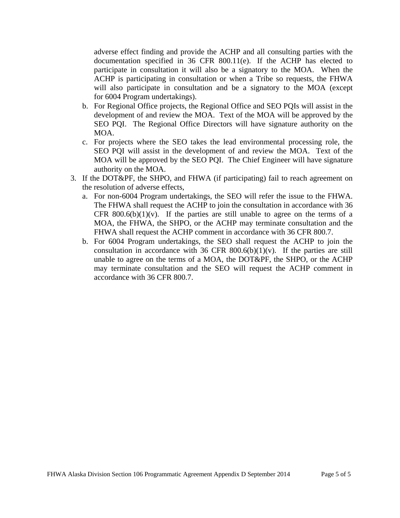adverse effect finding and provide the ACHP and all consulting parties with the documentation specified in 36 CFR 800.11(e). If the ACHP has elected to participate in consultation it will also be a signatory to the MOA. When the ACHP is participating in consultation or when a Tribe so requests, the FHWA will also participate in consultation and be a signatory to the MOA (except for 6004 Program undertakings).

- b. For Regional Office projects, the Regional Office and SEO PQIs will assist in the development of and review the MOA. Text of the MOA will be approved by the SEO PQI. The Regional Office Directors will have signature authority on the MOA.
- c. For projects where the SEO takes the lead environmental processing role, the SEO PQI will assist in the development of and review the MOA. Text of the MOA will be approved by the SEO PQI. The Chief Engineer will have signature authority on the MOA.
- 3. If the DOT&PF, the SHPO, and FHWA (if participating) fail to reach agreement on the resolution of adverse effects,
	- a. For non-6004 Program undertakings, the SEO will refer the issue to the FHWA. The FHWA shall request the ACHP to join the consultation in accordance with 36 CFR  $800.6(b)(1)(v)$ . If the parties are still unable to agree on the terms of a MOA, the FHWA, the SHPO, or the ACHP may terminate consultation and the FHWA shall request the ACHP comment in accordance with 36 CFR 800.7.
	- b. For 6004 Program undertakings, the SEO shall request the ACHP to join the consultation in accordance with 36 CFR  $800.6(b)(1)(v)$ . If the parties are still unable to agree on the terms of a MOA, the DOT&PF, the SHPO, or the ACHP may terminate consultation and the SEO will request the ACHP comment in accordance with 36 CFR 800.7.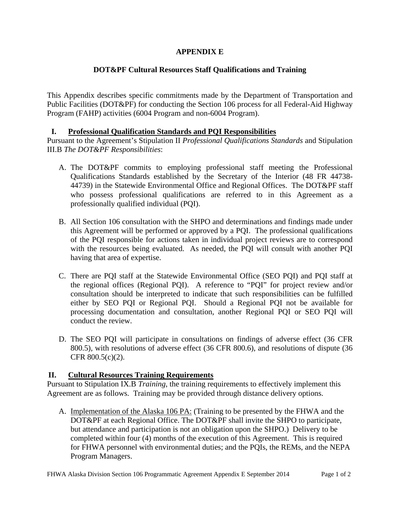# **APPENDIX E**

# **DOT&PF Cultural Resources Staff Qualifications and Training**

This Appendix describes specific commitments made by the Department of Transportation and Public Facilities (DOT&PF) for conducting the Section 106 process for all Federal-Aid Highway Program (FAHP) activities (6004 Program and non-6004 Program).

# **I. Professional Qualification Standards and PQI Responsibilities**

Pursuant to the Agreement's Stipulation II *Professional Qualifications Standards* and Stipulation III.B *The DOT&PF Responsibilities*:

- A. The DOT&PF commits to employing professional staff meeting the Professional Qualifications Standards established by the Secretary of the Interior (48 FR 44738- 44739) in the Statewide Environmental Office and Regional Offices. The DOT&PF staff who possess professional qualifications are referred to in this Agreement as a professionally qualified individual (PQI).
- B. All Section 106 consultation with the SHPO and determinations and findings made under this Agreement will be performed or approved by a PQI. The professional qualifications of the PQI responsible for actions taken in individual project reviews are to correspond with the resources being evaluated. As needed, the PQI will consult with another PQI having that area of expertise.
- C. There are PQI staff at the Statewide Environmental Office (SEO PQI) and PQI staff at the regional offices (Regional PQI). A reference to "PQI" for project review and/or consultation should be interpreted to indicate that such responsibilities can be fulfilled either by SEO PQI or Regional PQI. Should a Regional PQI not be available for processing documentation and consultation, another Regional PQI or SEO PQI will conduct the review.
- D. The SEO PQI will participate in consultations on findings of adverse effect (36 CFR 800.5), with resolutions of adverse effect (36 CFR 800.6), and resolutions of dispute (36 CFR 800.5(c)(2).

# **II. Cultural Resources Training Requirements**

Pursuant to Stipulation IX.B *Training*, the training requirements to effectively implement this Agreement are as follows. Training may be provided through distance delivery options.

A. Implementation of the Alaska 106 PA: (Training to be presented by the FHWA and the DOT&PF at each Regional Office. The DOT&PF shall invite the SHPO to participate, but attendance and participation is not an obligation upon the SHPO.) Delivery to be completed within four (4) months of the execution of this Agreement. This is required for FHWA personnel with environmental duties; and the PQIs, the REMs, and the NEPA Program Managers.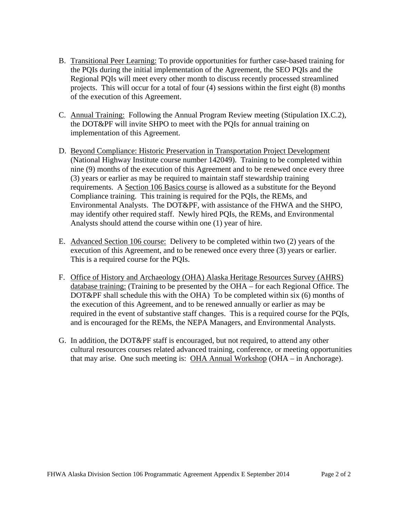- B. Transitional Peer Learning: To provide opportunities for further case-based training for the PQIs during the initial implementation of the Agreement, the SEO PQIs and the Regional PQIs will meet every other month to discuss recently processed streamlined projects. This will occur for a total of four (4) sessions within the first eight (8) months of the execution of this Agreement.
- C. Annual Training: Following the Annual Program Review meeting (Stipulation IX.C.2), the DOT&PF will invite SHPO to meet with the PQIs for annual training on implementation of this Agreement.
- D. Beyond Compliance: Historic Preservation in Transportation Project Development (National Highway Institute course number 142049). Training to be completed within nine (9) months of the execution of this Agreement and to be renewed once every three (3) years or earlier as may be required to maintain staff stewardship training requirements. A Section 106 Basics course is allowed as a substitute for the Beyond Compliance training. This training is required for the PQIs, the REMs, and Environmental Analysts. The DOT&PF, with assistance of the FHWA and the SHPO, may identify other required staff. Newly hired PQIs, the REMs, and Environmental Analysts should attend the course within one (1) year of hire.
- E. Advanced Section 106 course: Delivery to be completed within two (2) years of the execution of this Agreement, and to be renewed once every three (3) years or earlier. This is a required course for the PQIs.
- F. Office of History and Archaeology (OHA) Alaska Heritage Resources Survey (AHRS) database training: (Training to be presented by the OHA – for each Regional Office. The DOT&PF shall schedule this with the OHA) To be completed within six (6) months of the execution of this Agreement, and to be renewed annually or earlier as may be required in the event of substantive staff changes. This is a required course for the PQIs, and is encouraged for the REMs, the NEPA Managers, and Environmental Analysts.
- G. In addition, the DOT&PF staff is encouraged, but not required, to attend any other cultural resources courses related advanced training, conference, or meeting opportunities that may arise. One such meeting is: OHA Annual Workshop (OHA – in Anchorage).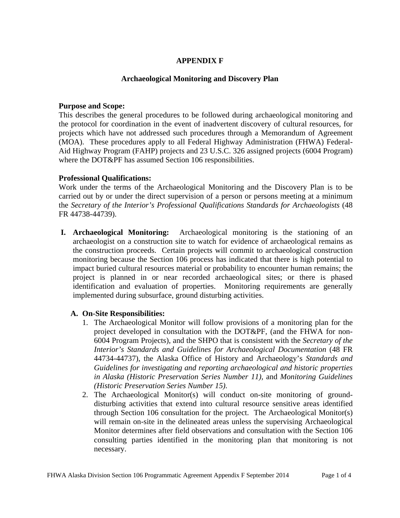# **APPENDIX F**

#### **Archaeological Monitoring and Discovery Plan**

#### **Purpose and Scope:**

This describes the general procedures to be followed during archaeological monitoring and the protocol for coordination in the event of inadvertent discovery of cultural resources, for projects which have not addressed such procedures through a Memorandum of Agreement (MOA). These procedures apply to all Federal Highway Administration (FHWA) Federal-Aid Highway Program (FAHP) projects and 23 U.S.C. 326 assigned projects (6004 Program) where the DOT&PF has assumed Section 106 responsibilities.

#### **Professional Qualifications:**

Work under the terms of the Archaeological Monitoring and the Discovery Plan is to be carried out by or under the direct supervision of a person or persons meeting at a minimum the *Secretary of the Interior's Professional Qualifications Standards for Archaeologists* (48 FR 44738-44739).

**I. Archaeological Monitoring:** Archaeological monitoring is the stationing of an archaeologist on a construction site to watch for evidence of archaeological remains as the construction proceeds. Certain projects will commit to archaeological construction monitoring because the Section 106 process has indicated that there is high potential to impact buried cultural resources material or probability to encounter human remains; the project is planned in or near recorded archaeological sites; or there is phased identification and evaluation of properties. Monitoring requirements are generally implemented during subsurface, ground disturbing activities.

#### **A. On-Site Responsibilities:**

- 1. The Archaeological Monitor will follow provisions of a monitoring plan for the project developed in consultation with the DOT&PF, (and the FHWA for non-6004 Program Projects), and the SHPO that is consistent with the *Secretary of the Interior's Standards and Guidelines for Archaeological Documentation* (48 FR 44734-44737), the Alaska Office of History and Archaeology's *Standards and Guidelines for investigating and reporting archaeological and historic properties in Alaska (Historic Preservation Series Number 11),* and *Monitoring Guidelines (Historic Preservation Series Number 15)*.
- 2. The Archaeological Monitor(s) will conduct on-site monitoring of grounddisturbing activities that extend into cultural resource sensitive areas identified through Section 106 consultation for the project. The Archaeological Monitor(s) will remain on-site in the delineated areas unless the supervising Archaeological Monitor determines after field observations and consultation with the Section 106 consulting parties identified in the monitoring plan that monitoring is not necessary.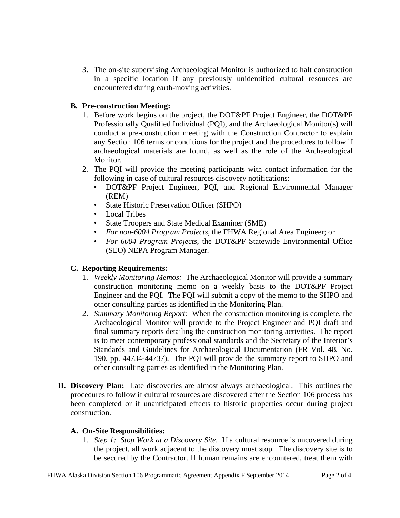3. The on-site supervising Archaeological Monitor is authorized to halt construction in a specific location if any previously unidentified cultural resources are encountered during earth-moving activities.

# **B. Pre-construction Meeting:**

- 1. Before work begins on the project, the DOT&PF Project Engineer, the DOT&PF Professionally Qualified Individual (PQI), and the Archaeological Monitor(s) will conduct a pre-construction meeting with the Construction Contractor to explain any Section 106 terms or conditions for the project and the procedures to follow if archaeological materials are found, as well as the role of the Archaeological Monitor.
- 2. The PQI will provide the meeting participants with contact information for the following in case of cultural resources discovery notifications:
	- DOT&PF Project Engineer, PQI, and Regional Environmental Manager (REM)
	- State Historic Preservation Officer (SHPO)
	- Local Tribes
	- State Troopers and State Medical Examiner (SME)
	- *For non-6004 Program Projects*, the FHWA Regional Area Engineer; or
	- *For 6004 Program Projects*, the DOT&PF Statewide Environmental Office (SEO) NEPA Program Manager.

# **C. Reporting Requirements:**

- 1. *Weekly Monitoring Memos:* The Archaeological Monitor will provide a summary construction monitoring memo on a weekly basis to the DOT&PF Project Engineer and the PQI. The PQI will submit a copy of the memo to the SHPO and other consulting parties as identified in the Monitoring Plan.
- 2. *Summary Monitoring Report:* When the construction monitoring is complete, the Archaeological Monitor will provide to the Project Engineer and PQI draft and final summary reports detailing the construction monitoring activities. The report is to meet contemporary professional standards and the Secretary of the Interior's Standards and Guidelines for Archaeological Documentation (FR Vol. 48, No. 190, pp. 44734-44737). The PQI will provide the summary report to SHPO and other consulting parties as identified in the Monitoring Plan.
- **II. Discovery Plan:** Late discoveries are almost always archaeological. This outlines the procedures to follow if cultural resources are discovered after the Section 106 process has been completed or if unanticipated effects to historic properties occur during project construction.

# **A. On-Site Responsibilities:**

1. *Step 1: Stop Work at a Discovery Site.* If a cultural resource is uncovered during the project, all work adjacent to the discovery must stop. The discovery site is to be secured by the Contractor. If human remains are encountered, treat them with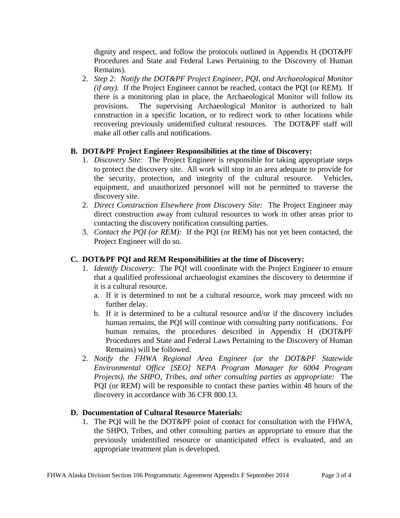dignity and respect, and follow the protocols outlined in Appendix H (DOT&PF Procedures and State and Federal Laws Pertaining to the Discovery of Human Remains).

2. *Step 2: Notify the DOT&PF Project Engineer, PQI, and Archaeological Monitor (if any).* If the Project Engineer cannot be reached, contact the POI (or REM). If there is a monitoring plan in place, the Archaeological Monitor will follow its provisions. The supervising Archaeological Monitor is authorized to halt construction in a specific location, or to redirect work to other locations while recovering previously unidentified cultural resources. The DOT&PF staff will make all other calls and notifications.

# **B. DOT&PF Project Engineer Responsibilities at the time of Discovery:**

- 1. *Discovery Site:* The Project Engineer is responsible for taking appropriate steps to protect the discovery site. All work will stop in an area adequate to provide for the security, protection, and integrity of the cultural resource. Vehicles, equipment, and unauthorized personnel will not be permitted to traverse the discovery site.
- 2. *Direct Construction Elsewhere from Discovery Site:* The Project Engineer may direct construction away from cultural resources to work in other areas prior to contacting the discovery notification consulting parties.
- 3. *Contact the PQI (or REM):* If the PQI (or REM) has not yet been contacted, the Project Engineer will do so.

# **C. DOT&PF PQI and REM Responsibilities at the time of Discovery:**

- 1. *Identify Discovery:* The PQI will coordinate with the Project Engineer to ensure that a qualified professional archaeologist examines the discovery to determine if it is a cultural resource.
	- a. If it is determined to not be a cultural resource, work may proceed with no further delay.
	- b. If it is determined to be a cultural resource and/or if the discovery includes human remains, the PQI will continue with consulting party notifications. For human remains, the procedures described in Appendix H (DOT&PF Procedures and State and Federal Laws Pertaining to the Discovery of Human Remains) will be followed.
- 2. *Notify the FHWA Regional Area Engineer (or the DOT&PF Statewide Environmental Office [SEO] NEPA Program Manager for 6004 Program Projects), the SHPO, Tribes, and other consulting parties as appropriate:* The PQI (or REM) will be responsible to contact these parties within 48 hours of the discovery in accordance with 36 CFR 800.13.

# **D. Documentation of Cultural Resource Materials:**

1. The PQI will be the DOT&PF point of contact for consultation with the FHWA, the SHPO, Tribes, and other consulting parties as appropriate to ensure that the previously unidentified resource or unanticipated effect is evaluated, and an appropriate treatment plan is developed.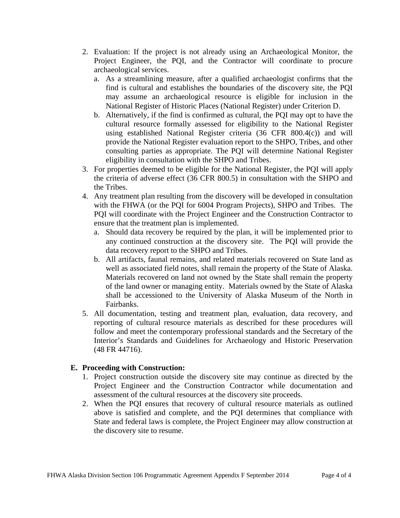- 2. Evaluation: If the project is not already using an Archaeological Monitor, the Project Engineer, the PQI, and the Contractor will coordinate to procure archaeological services.
	- a. As a streamlining measure, after a qualified archaeologist confirms that the find is cultural and establishes the boundaries of the discovery site, the PQI may assume an archaeological resource is eligible for inclusion in the National Register of Historic Places (National Register) under Criterion D.
	- b. Alternatively, if the find is confirmed as cultural, the PQI may opt to have the cultural resource formally assessed for eligibility to the National Register using established National Register criteria (36 CFR 800.4(c)) and will provide the National Register evaluation report to the SHPO, Tribes, and other consulting parties as appropriate. The PQI will determine National Register eligibility in consultation with the SHPO and Tribes.
- 3. For properties deemed to be eligible for the National Register, the PQI will apply the criteria of adverse effect (36 CFR 800.5) in consultation with the SHPO and the Tribes.
- 4. Any treatment plan resulting from the discovery will be developed in consultation with the FHWA (or the PQI for 6004 Program Projects), SHPO and Tribes. The PQI will coordinate with the Project Engineer and the Construction Contractor to ensure that the treatment plan is implemented.
	- a. Should data recovery be required by the plan, it will be implemented prior to any continued construction at the discovery site. The PQI will provide the data recovery report to the SHPO and Tribes.
	- b. All artifacts, faunal remains, and related materials recovered on State land as well as associated field notes, shall remain the property of the State of Alaska. Materials recovered on land not owned by the State shall remain the property of the land owner or managing entity. Materials owned by the State of Alaska shall be accessioned to the University of Alaska Museum of the North in Fairbanks.
- 5. All documentation, testing and treatment plan, evaluation, data recovery, and reporting of cultural resource materials as described for these procedures will follow and meet the contemporary professional standards and the Secretary of the Interior's Standards and Guidelines for Archaeology and Historic Preservation (48 FR 44716).

#### **E. Proceeding with Construction:**

- 1. Project construction outside the discovery site may continue as directed by the Project Engineer and the Construction Contractor while documentation and assessment of the cultural resources at the discovery site proceeds.
- 2. When the PQI ensures that recovery of cultural resource materials as outlined above is satisfied and complete, and the PQI determines that compliance with State and federal laws is complete, the Project Engineer may allow construction at the discovery site to resume.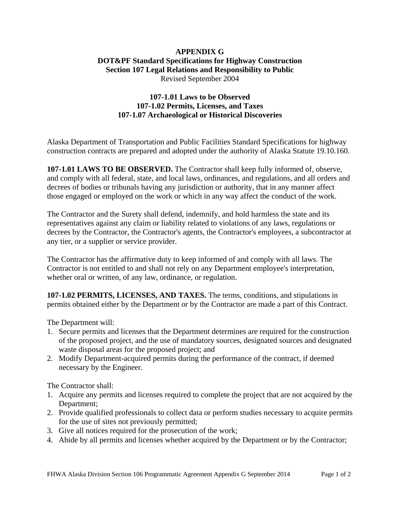#### **APPENDIX G DOT&PF Standard Specifications for Highway Construction Section 107 Legal Relations and Responsibility to Public**  Revised September 2004

#### **107-1.01 Laws to be Observed 107-1.02 Permits, Licenses, and Taxes 107-1.07 Archaeological or Historical Discoveries**

Alaska Department of Transportation and Public Facilities Standard Specifications for highway construction contracts are prepared and adopted under the authority of Alaska Statute 19.10.160.

**107-1.01 LAWS TO BE OBSERVED.** The Contractor shall keep fully informed of, observe, and comply with all federal, state, and local laws, ordinances, and regulations, and all orders and decrees of bodies or tribunals having any jurisdiction or authority, that in any manner affect those engaged or employed on the work or which in any way affect the conduct of the work.

The Contractor and the Surety shall defend, indemnify, and hold harmless the state and its representatives against any claim or liability related to violations of any laws, regulations or decrees by the Contractor, the Contractor's agents, the Contractor's employees, a subcontractor at any tier, or a supplier or service provider.

The Contractor has the affirmative duty to keep informed of and comply with all laws. The Contractor is not entitled to and shall not rely on any Department employee's interpretation, whether oral or written, of any law, ordinance, or regulation.

**107-1.02 PERMITS, LICENSES, AND TAXES.** The terms, conditions, and stipulations in permits obtained either by the Department or by the Contractor are made a part of this Contract.

The Department will:

- 1. Secure permits and licenses that the Department determines are required for the construction of the proposed project, and the use of mandatory sources, designated sources and designated waste disposal areas for the proposed project; and
- 2. Modify Department-acquired permits during the performance of the contract, if deemed necessary by the Engineer.

The Contractor shall:

- 1. Acquire any permits and licenses required to complete the project that are not acquired by the Department;
- 2. Provide qualified professionals to collect data or perform studies necessary to acquire permits for the use of sites not previously permitted;
- 3. Give all notices required for the prosecution of the work;
- 4. Abide by all permits and licenses whether acquired by the Department or by the Contractor;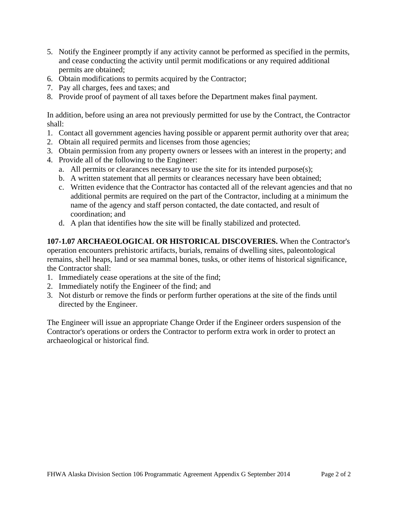- 5. Notify the Engineer promptly if any activity cannot be performed as specified in the permits, and cease conducting the activity until permit modifications or any required additional permits are obtained;
- 6. Obtain modifications to permits acquired by the Contractor;
- 7. Pay all charges, fees and taxes; and
- 8. Provide proof of payment of all taxes before the Department makes final payment.

In addition, before using an area not previously permitted for use by the Contract, the Contractor shall:

- 1. Contact all government agencies having possible or apparent permit authority over that area;
- 2. Obtain all required permits and licenses from those agencies;
- 3. Obtain permission from any property owners or lessees with an interest in the property; and
- 4. Provide all of the following to the Engineer:
	- a. All permits or clearances necessary to use the site for its intended purpose(s);
	- b. A written statement that all permits or clearances necessary have been obtained;
	- c. Written evidence that the Contractor has contacted all of the relevant agencies and that no additional permits are required on the part of the Contractor, including at a minimum the name of the agency and staff person contacted, the date contacted, and result of coordination; and
	- d. A plan that identifies how the site will be finally stabilized and protected.

**107-1.07 ARCHAEOLOGICAL OR HISTORICAL DISCOVERIES.** When the Contractor's operation encounters prehistoric artifacts, burials, remains of dwelling sites, paleontological remains, shell heaps, land or sea mammal bones, tusks, or other items of historical significance, the Contractor shall:

- 1. Immediately cease operations at the site of the find;
- 2. Immediately notify the Engineer of the find; and
- 3. Not disturb or remove the finds or perform further operations at the site of the finds until directed by the Engineer.

The Engineer will issue an appropriate Change Order if the Engineer orders suspension of the Contractor's operations or orders the Contractor to perform extra work in order to protect an archaeological or historical find.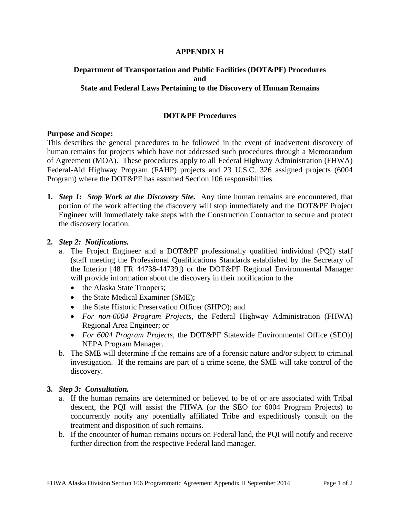#### **APPENDIX H**

#### **Department of Transportation and Public Facilities (DOT&PF) Procedures and State and Federal Laws Pertaining to the Discovery of Human Remains**

#### **DOT&PF Procedures**

#### **Purpose and Scope:**

This describes the general procedures to be followed in the event of inadvertent discovery of human remains for projects which have not addressed such procedures through a Memorandum of Agreement (MOA). These procedures apply to all Federal Highway Administration (FHWA) Federal-Aid Highway Program (FAHP) projects and 23 U.S.C. 326 assigned projects (6004 Program) where the DOT&PF has assumed Section 106 responsibilities.

**1.** *Step 1: Stop Work at the Discovery Site.* Any time human remains are encountered, that portion of the work affecting the discovery will stop immediately and the DOT&PF Project Engineer will immediately take steps with the Construction Contractor to secure and protect the discovery location.

#### **2.** *Step 2: Notifications.*

- a. The Project Engineer and a DOT&PF professionally qualified individual (PQI) staff (staff meeting the Professional Qualifications Standards established by the Secretary of the Interior [48 FR 44738-44739]) or the DOT&PF Regional Environmental Manager will provide information about the discovery in their notification to the
	- the Alaska State Troopers;
	- the State Medical Examiner (SME);
	- the State Historic Preservation Officer (SHPO); and
	- *For non-6004 Program Projects*, the Federal Highway Administration (FHWA) Regional Area Engineer; or
	- *For 6004 Program Projects*, the DOT&PF Statewide Environmental Office (SEO)] NEPA Program Manager.
- b. The SME will determine if the remains are of a forensic nature and/or subject to criminal investigation. If the remains are part of a crime scene, the SME will take control of the discovery.

#### **3.** *Step 3: Consultation.*

- a. If the human remains are determined or believed to be of or are associated with Tribal descent, the PQI will assist the FHWA (or the SEO for 6004 Program Projects) to concurrently notify any potentially affiliated Tribe and expeditiously consult on the treatment and disposition of such remains.
- b. If the encounter of human remains occurs on Federal land, the PQI will notify and receive further direction from the respective Federal land manager.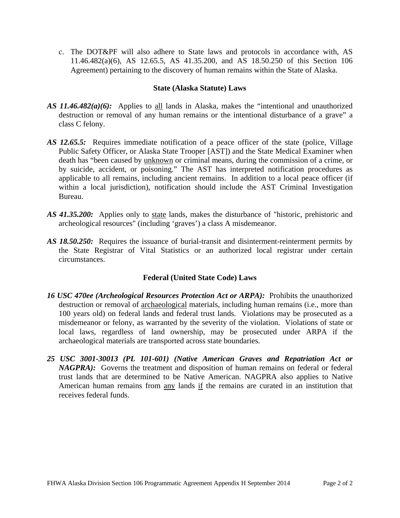c. The DOT&PF will also adhere to State laws and protocols in accordance with, AS 11.46.482(a)(6), AS 12.65.5, AS 41.35.200, and AS 18.50.250 of this Section 106 Agreement) pertaining to the discovery of human remains within the State of Alaska.

#### **State (Alaska Statute) Laws**

- *AS 11.46.482(a)(6):* Applies to all lands in Alaska, makes the "intentional and unauthorized destruction or removal of any human remains or the intentional disturbance of a grave" a class C felony.
- *AS 12.65.5:* Requires immediate notification of a peace officer of the state (police, Village Public Safety Officer, or Alaska State Trooper [AST]) and the State Medical Examiner when death has "been caused by unknown or criminal means, during the commission of a crime, or by suicide, accident, or poisoning." The AST has interpreted notification procedures as applicable to all remains, including ancient remains. In addition to a local peace officer (if within a local jurisdiction), notification should include the AST Criminal Investigation Bureau.
- *AS 41.35.200:* Applies only to state lands, makes the disturbance of "historic, prehistoric and archeological resources" (including 'graves') a class A misdemeanor.
- *AS 18.50.250:* Requires the issuance of burial-transit and disinterment-reinterment permits by the State Registrar of Vital Statistics or an authorized local registrar under certain circumstances.

# **Federal (United State Code) Laws**

- *16 USC 470ee (Archeological Resources Protection Act or ARPA):* Prohibits the unauthorized destruction or removal of archaeological materials, including human remains (i.e., more than 100 years old) on federal lands and federal trust lands. Violations may be prosecuted as a misdemeanor or felony, as warranted by the severity of the violation. Violations of state or local laws, regardless of land ownership, may be prosecuted under ARPA if the archaeological materials are transported across state boundaries.
- *25 USC 3001-30013 (PL 101-601) (Native American Graves and Repatriation Act or NAGPRA*): Governs the treatment and disposition of human remains on federal or federal trust lands that are determined to be Native American. NAGPRA also applies to Native American human remains from any lands if the remains are curated in an institution that receives federal funds.